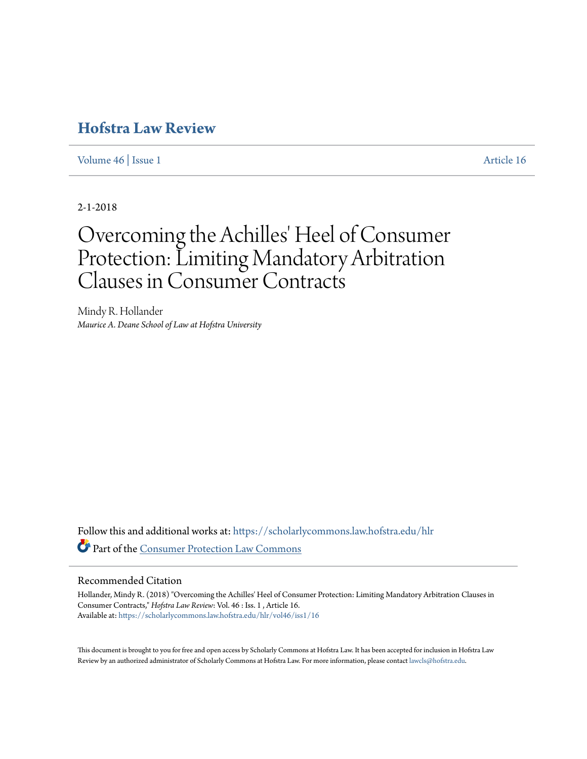## **[Hofstra Law Review](https://scholarlycommons.law.hofstra.edu/hlr?utm_source=scholarlycommons.law.hofstra.edu%2Fhlr%2Fvol46%2Fiss1%2F16&utm_medium=PDF&utm_campaign=PDFCoverPages)**

[Volume 46](https://scholarlycommons.law.hofstra.edu/hlr/vol46?utm_source=scholarlycommons.law.hofstra.edu%2Fhlr%2Fvol46%2Fiss1%2F16&utm_medium=PDF&utm_campaign=PDFCoverPages) | [Issue 1](https://scholarlycommons.law.hofstra.edu/hlr/vol46/iss1?utm_source=scholarlycommons.law.hofstra.edu%2Fhlr%2Fvol46%2Fiss1%2F16&utm_medium=PDF&utm_campaign=PDFCoverPages) [Article 16](https://scholarlycommons.law.hofstra.edu/hlr/vol46/iss1/16?utm_source=scholarlycommons.law.hofstra.edu%2Fhlr%2Fvol46%2Fiss1%2F16&utm_medium=PDF&utm_campaign=PDFCoverPages)

2-1-2018

# Overcoming the Achilles' Heel of Consumer Protection: Limiting Mandatory Arbitration Clauses in Consumer Contracts

Mindy R. Hollander *Maurice A. Deane School of Law at Hofstra University*

Follow this and additional works at: [https://scholarlycommons.law.hofstra.edu/hlr](https://scholarlycommons.law.hofstra.edu/hlr?utm_source=scholarlycommons.law.hofstra.edu%2Fhlr%2Fvol46%2Fiss1%2F16&utm_medium=PDF&utm_campaign=PDFCoverPages) Part of the [Consumer Protection Law Commons](http://network.bepress.com/hgg/discipline/838?utm_source=scholarlycommons.law.hofstra.edu%2Fhlr%2Fvol46%2Fiss1%2F16&utm_medium=PDF&utm_campaign=PDFCoverPages)

## Recommended Citation

Hollander, Mindy R. (2018) "Overcoming the Achilles' Heel of Consumer Protection: Limiting Mandatory Arbitration Clauses in Consumer Contracts," *Hofstra Law Review*: Vol. 46 : Iss. 1 , Article 16. Available at: [https://scholarlycommons.law.hofstra.edu/hlr/vol46/iss1/16](https://scholarlycommons.law.hofstra.edu/hlr/vol46/iss1/16?utm_source=scholarlycommons.law.hofstra.edu%2Fhlr%2Fvol46%2Fiss1%2F16&utm_medium=PDF&utm_campaign=PDFCoverPages)

This document is brought to you for free and open access by Scholarly Commons at Hofstra Law. It has been accepted for inclusion in Hofstra Law Review by an authorized administrator of Scholarly Commons at Hofstra Law. For more information, please contact [lawcls@hofstra.edu](mailto:lawcls@hofstra.edu).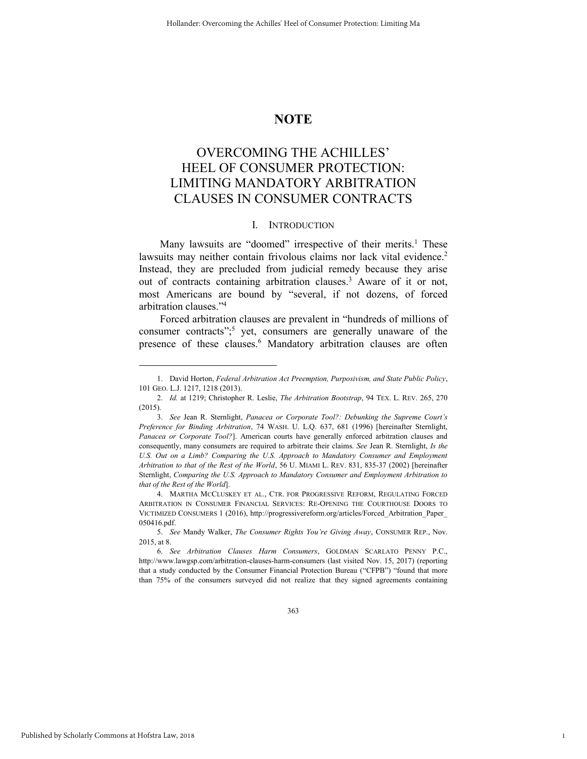## **NOTE**

## OVERCOMING THE ACHILLES' HEEL OF CONSUMER PROTECTION: LIMITING MANDATORY ARBITRATION CLAUSES IN CONSUMER CONTRACTS

#### I. INTRODUCTION

Many lawsuits are "doomed" irrespective of their merits.<sup>1</sup> These lawsuits may neither contain frivolous claims nor lack vital evidence.<sup>2</sup> Instead, they are precluded from judicial remedy because they arise out of contracts containing arbitration clauses.<sup>3</sup> Aware of it or not, most Americans are bound by "several, if not dozens, of forced arbitration clauses." 4

Forced arbitration clauses are prevalent in "hundreds of millions of consumer contracts";<sup>5</sup> yet, consumers are generally unaware of the presence of these clauses.<sup>6</sup> Mandatory arbitration clauses are often

4. MARTHA MCCLUSKEY ET AL., CTR. FOR PROGRESSIVE REFORM, REGULATING FORCED ARBITRATION IN CONSUMER FINANCIAL SERVICES: RE-OPENING THE COURTHOUSE DOORS TO VICTIMIZED CONSUMERS 1 (2016), http://progressivereform.org/articles/Forced\_Arbitration\_Paper\_ 050416.pdf.

363

1

<sup>1.</sup> David Horton, *Federal Arbitration Act Preemption, Purposivism, and State Public Policy*, 101 GEO. L.J. 1217, 1218 (2013).

<sup>2.</sup> *Id.* at 1219; Christopher R. Leslie, *The Arbitration Bootstrap*, 94 TEX. L. REV. 265, 270 (2015).

<sup>3.</sup> *See* Jean R. Sternlight, *Panacea or Corporate Tool?: Debunking the Supreme Court's Preference for Binding Arbitration*, 74 WASH. U. L.Q. 637, 681 (1996) [hereinafter Sternlight, *Panacea or Corporate Tool?*]. American courts have generally enforced arbitration clauses and consequently, many consumers are required to arbitrate their claims. *See* Jean R. Sternlight, *Is the*  U.S. Out on a Limb? Comparing the U.S. Approach to Mandatory Consumer and Employment *Arbitration to that of the Rest of the World*, 56 U. MIAMI L. REV. 831, 835-37 (2002) [hereinafter Sternlight, *Comparing the U.S. Approach to Mandatory Consumer and Employment Arbitration to that of the Rest of the World*].

<sup>5.</sup> *See* Mandy Walker, *The Consumer Rights You're Giving Away*, CONSUMER REP., Nov. 2015, at 8.

<sup>6.</sup> *See Arbitration Clauses Harm Consumers*, GOLDMAN SCARLATO PENNY P.C., http://www.lawgsp.com/arbitration-clauses-harm-consumers (last visited Nov. 15, 2017) (reporting that a study conducted by the Consumer Financial Protection Bureau ("CFPB") "found that more than 75% of the consumers surveyed did not realize that they signed agreements containing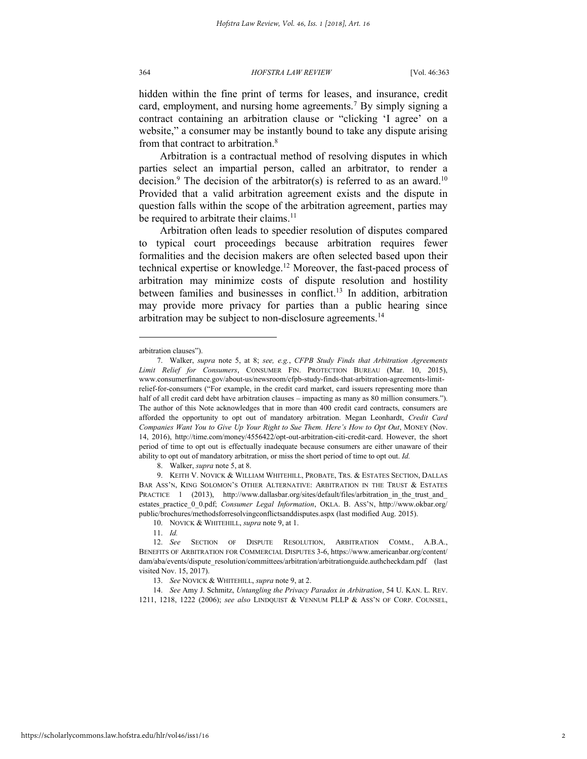hidden within the fine print of terms for leases, and insurance, credit card, employment, and nursing home agreements.<sup>7</sup> By simply signing a contract containing an arbitration clause or "clicking 'I agree' on a website," a consumer may be instantly bound to take any dispute arising from that contract to arbitration.<sup>8</sup>

Arbitration is a contractual method of resolving disputes in which parties select an impartial person, called an arbitrator, to render a decision.<sup>9</sup> The decision of the arbitrator(s) is referred to as an award.<sup>10</sup> Provided that a valid arbitration agreement exists and the dispute in question falls within the scope of the arbitration agreement, parties may be required to arbitrate their claims.<sup>11</sup>

Arbitration often leads to speedier resolution of disputes compared to typical court proceedings because arbitration requires fewer formalities and the decision makers are often selected based upon their technical expertise or knowledge.<sup>12</sup> Moreover, the fast-paced process of arbitration may minimize costs of dispute resolution and hostility between families and businesses in conflict.<sup>13</sup> In addition, arbitration may provide more privacy for parties than a public hearing since arbitration may be subject to non-disclosure agreements.<sup>14</sup>

l

8. Walker, *supra* note 5, at 8.

10. NOVICK & WHITEHILL, *supra* note 9, at 1.

arbitration clauses").

<sup>7.</sup> Walker, *supra* note 5, at 8; *see, e.g.*, *CFPB Study Finds that Arbitration Agreements Limit Relief for Consumers*, CONSUMER FIN. PROTECTION BUREAU (Mar. 10, 2015), www.consumerfinance.gov/about-us/newsroom/cfpb-study-finds-that-arbitration-agreements-limitrelief-for-consumers ("For example, in the credit card market, card issuers representing more than half of all credit card debt have arbitration clauses – impacting as many as 80 million consumers."). The author of this Note acknowledges that in more than 400 credit card contracts, consumers are afforded the opportunity to opt out of mandatory arbitration. Megan Leonhardt, *Credit Card Companies Want You to Give Up Your Right to Sue Them. Here's How to Opt Out*, MONEY (Nov. 14, 2016), http://time.com/money/4556422/opt-out-arbitration-citi-credit-card. However, the short period of time to opt out is effectually inadequate because consumers are either unaware of their ability to opt out of mandatory arbitration, or miss the short period of time to opt out. *Id.*

<sup>9.</sup> KEITH V. NOVICK & WILLIAM WHITEHILL, PROBATE, TRS. & ESTATES SECTION, DALLAS BAR ASS'N, KING SOLOMON'S OTHER ALTERNATIVE: ARBITRATION IN THE TRUST & ESTATES PRACTICE 1 (2013), http://www.dallasbar.org/sites/default/files/arbitration in the trust and estates\_practice\_0\_0.pdf; *Consumer Legal Information*, OKLA. B. ASS'N, http://www.okbar.org/ public/brochures/methodsforresolvingconflictsanddisputes.aspx (last modified Aug. 2015).

<sup>11.</sup> *Id.*

<sup>12.</sup> *See* SECTION OF DISPUTE RESOLUTION, ARBITRATION COMM., A.B.A., BENEFITS OF ARBITRATION FOR COMMERCIAL DISPUTES 3-6, https://www.americanbar.org/content/ dam/aba/events/dispute\_resolution/committees/arbitration/arbitrationguide.authcheckdam.pdf (last visited Nov. 15, 2017).

<sup>13.</sup> *See* NOVICK & WHITEHILL, *supra* note 9, at 2.

<sup>14.</sup> *See* Amy J. Schmitz, *Untangling the Privacy Paradox in Arbitration*, 54 U. KAN. L. REV. 1211, 1218, 1222 (2006); *see also* LINDQUIST & VENNUM PLLP & ASS'N OF CORP. COUNSEL,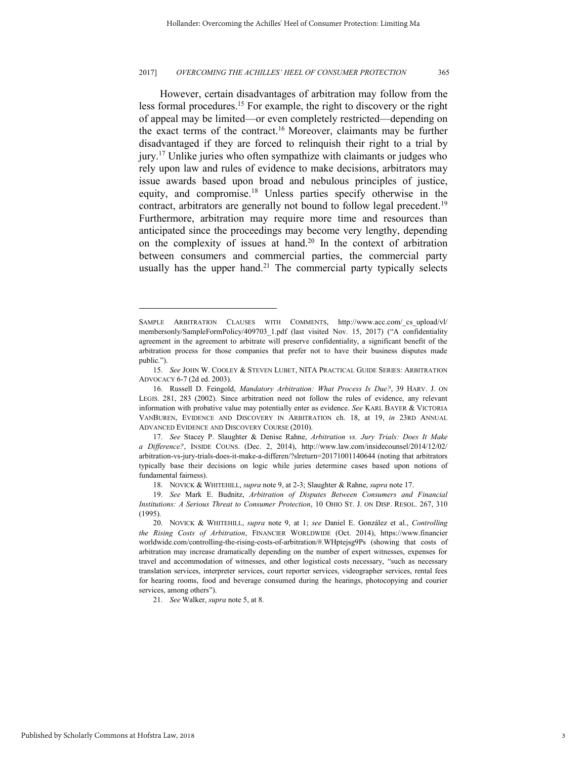However, certain disadvantages of arbitration may follow from the less formal procedures.<sup>15</sup> For example, the right to discovery or the right of appeal may be limited—or even completely restricted—depending on the exact terms of the contract.<sup>16</sup> Moreover, claimants may be further disadvantaged if they are forced to relinquish their right to a trial by jury.<sup>17</sup> Unlike juries who often sympathize with claimants or judges who rely upon law and rules of evidence to make decisions, arbitrators may issue awards based upon broad and nebulous principles of justice, equity, and compromise.<sup>18</sup> Unless parties specify otherwise in the contract, arbitrators are generally not bound to follow legal precedent.<sup>19</sup> Furthermore, arbitration may require more time and resources than anticipated since the proceedings may become very lengthy, depending on the complexity of issues at hand.<sup>20</sup> In the context of arbitration between consumers and commercial parties, the commercial party usually has the upper hand.<sup>21</sup> The commercial party typically selects

21. *See* Walker, *supra* note 5, at 8.

SAMPLE ARBITRATION CLAUSES WITH COMMENTS, http://www.acc.com/\_cs\_upload/vl/ membersonly/SampleFormPolicy/409703\_1.pdf (last visited Nov. 15, 2017) ("A confidentiality agreement in the agreement to arbitrate will preserve confidentiality, a significant benefit of the arbitration process for those companies that prefer not to have their business disputes made public.").

<sup>15.</sup> *See* JOHN W. COOLEY & STEVEN LUBET, NITA PRACTICAL GUIDE SERIES: ARBITRATION ADVOCACY 6-7 (2d ed. 2003).

<sup>16.</sup> Russell D. Feingold, *Mandatory Arbitration: What Process Is Due?*, 39 HARV. J. ON LEGIS. 281, 283 (2002). Since arbitration need not follow the rules of evidence, any relevant information with probative value may potentially enter as evidence. *See* KARL BAYER & VICTORIA VANBUREN, EVIDENCE AND DISCOVERY IN ARBITRATION ch. 18, at 19, *in* 23RD ANNUAL ADVANCED EVIDENCE AND DISCOVERY COURSE (2010).

<sup>17.</sup> *See* Stacey P. Slaughter & Denise Rahne, *Arbitration vs. Jury Trials: Does It Make a Difference?*, INSIDE COUNS. (Dec. 2, 2014), http://www.law.com/insidecounsel/2014/12/02/ arbitration-vs-jury-trials-does-it-make-a-differen/?slreturn=20171001140644 (noting that arbitrators typically base their decisions on logic while juries determine cases based upon notions of fundamental fairness).

<sup>18.</sup> NOVICK & WHITEHILL, *supra* note 9, at 2-3; Slaughter & Rahne, *supra* note 17.

<sup>19.</sup> *See* Mark E. Budnitz, *Arbitration of Disputes Between Consumers and Financial Institutions: A Serious Threat to Consumer Protection*, 10 OHIO ST. J. ON DISP. RESOL. 267, 310 (1995).

<sup>20.</sup> NOVICK & WHITEHILL, *supra* note 9, at 1; *see* Daniel E. González et al., *Controlling the Rising Costs of Arbitration*, FINANCIER WORLDWIDE (Oct. 2014), https://www.financier worldwide.com/controlling-the-rising-costs-of-arbitration/#.WHptejsg9Ps (showing that costs of arbitration may increase dramatically depending on the number of expert witnesses, expenses for travel and accommodation of witnesses, and other logistical costs necessary, "such as necessary translation services, interpreter services, court reporter services, videographer services, rental fees for hearing rooms, food and beverage consumed during the hearings, photocopying and courier services, among others").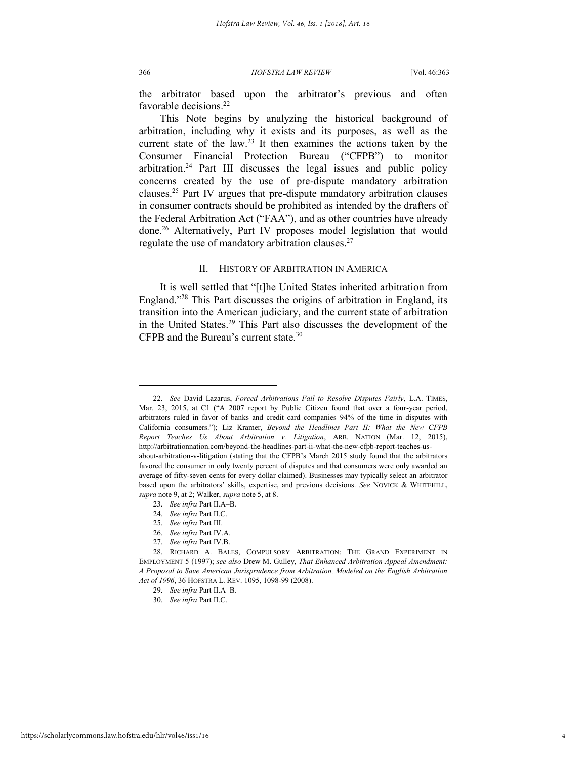366 *HOFSTRA LAW REVIEW* [Vol. 46:363

the arbitrator based upon the arbitrator's previous and often favorable decisions.<sup>22</sup>

This Note begins by analyzing the historical background of arbitration, including why it exists and its purposes, as well as the current state of the law.<sup>23</sup> It then examines the actions taken by the Consumer Financial Protection Bureau ("CFPB") to monitor arbitration.<sup>24</sup> Part III discusses the legal issues and public policy concerns created by the use of pre-dispute mandatory arbitration clauses.<sup>25</sup> Part IV argues that pre-dispute mandatory arbitration clauses in consumer contracts should be prohibited as intended by the drafters of the Federal Arbitration Act ("FAA"), and as other countries have already done.<sup>26</sup> Alternatively, Part IV proposes model legislation that would regulate the use of mandatory arbitration clauses. $27$ 

### II. HISTORY OF ARBITRATION IN AMERICA

It is well settled that "[t]he United States inherited arbitration from England." <sup>28</sup> This Part discusses the origins of arbitration in England, its transition into the American judiciary, and the current state of arbitration in the United States.<sup>29</sup> This Part also discusses the development of the CFPB and the Bureau's current state.<sup>30</sup>

- 23. *See infra* Part II.A–B.
- 24. *See infra* Part II.C.
- 25. *See infra* Part III.
- 26. *See infra* Part IV.A.
- 27. *See infra* Part IV.B.

- 29. *See infra* Part II.A–B.
- 30. *See infra* Part II.C.

<sup>22.</sup> *See* David Lazarus, *Forced Arbitrations Fail to Resolve Disputes Fairly*, L.A. TIMES, Mar. 23, 2015, at C1 ("A 2007 report by Public Citizen found that over a four-year period, arbitrators ruled in favor of banks and credit card companies 94% of the time in disputes with California consumers."); Liz Kramer, *Beyond the Headlines Part II: What the New CFPB Report Teaches Us About Arbitration v. Litigation*, ARB. NATION (Mar. 12, 2015), http://arbitrationnation.com/beyond-the-headlines-part-ii-what-the-new-cfpb-report-teaches-usabout-arbitration-v-litigation (stating that the CFPB's March 2015 study found that the arbitrators

favored the consumer in only twenty percent of disputes and that consumers were only awarded an average of fifty-seven cents for every dollar claimed). Businesses may typically select an arbitrator based upon the arbitrators' skills, expertise, and previous decisions. *See* NOVICK & WHITEHILL, *supra* note 9, at 2; Walker, *supra* note 5, at 8.

<sup>28.</sup> RICHARD A. BALES, COMPULSORY ARBITRATION: THE GRAND EXPERIMENT IN EMPLOYMENT 5 (1997); *see also* Drew M. Gulley, *That Enhanced Arbitration Appeal Amendment: A Proposal to Save American Jurisprudence from Arbitration, Modeled on the English Arbitration Act of 1996*, 36 HOFSTRA L. REV. 1095, 1098-99 (2008).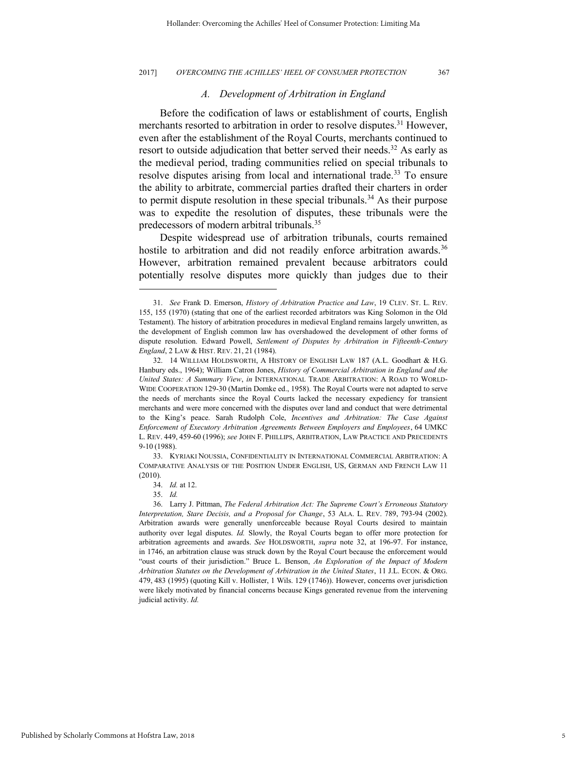#### *A. Development of Arbitration in England*

Before the codification of laws or establishment of courts, English merchants resorted to arbitration in order to resolve disputes.<sup>31</sup> However, even after the establishment of the Royal Courts, merchants continued to resort to outside adjudication that better served their needs.<sup>32</sup> As early as the medieval period, trading communities relied on special tribunals to resolve disputes arising from local and international trade.<sup>33</sup> To ensure the ability to arbitrate, commercial parties drafted their charters in order to permit dispute resolution in these special tribunals.<sup>34</sup> As their purpose was to expedite the resolution of disputes, these tribunals were the predecessors of modern arbitral tribunals.<sup>35</sup>

Despite widespread use of arbitration tribunals, courts remained hostile to arbitration and did not readily enforce arbitration awards.<sup>36</sup> However, arbitration remained prevalent because arbitrators could potentially resolve disputes more quickly than judges due to their

<sup>31.</sup> *See* Frank D. Emerson, *History of Arbitration Practice and Law*, 19 CLEV. ST. L. REV. 155, 155 (1970) (stating that one of the earliest recorded arbitrators was King Solomon in the Old Testament). The history of arbitration procedures in medieval England remains largely unwritten, as the development of English common law has overshadowed the development of other forms of dispute resolution. Edward Powell, *Settlement of Disputes by Arbitration in Fifteenth-Century England*, 2 LAW & HIST. REV. 21, 21 (1984).

<sup>32. 14</sup> WILLIAM HOLDSWORTH, A HISTORY OF ENGLISH LAW 187 (A.L. Goodhart & H.G. Hanbury eds., 1964); William Catron Jones, *History of Commercial Arbitration in England and the United States: A Summary View*, *in* INTERNATIONAL TRADE ARBITRATION: A ROAD TO WORLD-WIDE COOPERATION 129-30 (Martin Domke ed., 1958). The Royal Courts were not adapted to serve the needs of merchants since the Royal Courts lacked the necessary expediency for transient merchants and were more concerned with the disputes over land and conduct that were detrimental to the King's peace. Sarah Rudolph Cole, *Incentives and Arbitration: The Case Against Enforcement of Executory Arbitration Agreements Between Employers and Employees*, 64 UMKC L. REV. 449, 459-60 (1996); *see* JOHN F. PHILLIPS, ARBITRATION, LAW PRACTICE AND PRECEDENTS 9-10 (1988).

<sup>33.</sup> KYRIAKI NOUSSIA, CONFIDENTIALITY IN INTERNATIONAL COMMERCIAL ARBITRATION: A COMPARATIVE ANALYSIS OF THE POSITION UNDER ENGLISH, US, GERMAN AND FRENCH LAW 11 (2010).

<sup>34.</sup> *Id.* at 12.

<sup>35.</sup> *Id.*

<sup>36.</sup> Larry J. Pittman, *The Federal Arbitration Act: The Supreme Court's Erroneous Statutory Interpretation, Stare Decisis, and a Proposal for Change*, 53 ALA. L. REV. 789, 793-94 (2002). Arbitration awards were generally unenforceable because Royal Courts desired to maintain authority over legal disputes. *Id.* Slowly, the Royal Courts began to offer more protection for arbitration agreements and awards. *See* HOLDSWORTH, *supra* note 32, at 196-97. For instance, in 1746, an arbitration clause was struck down by the Royal Court because the enforcement would "oust courts of their jurisdiction." Bruce L. Benson, *An Exploration of the Impact of Modern Arbitration Statutes on the Development of Arbitration in the United States*, 11 J.L. ECON. & ORG. 479, 483 (1995) (quoting Kill v. Hollister, 1 Wils. 129 (1746)). However, concerns over jurisdiction were likely motivated by financial concerns because Kings generated revenue from the intervening judicial activity. *Id.*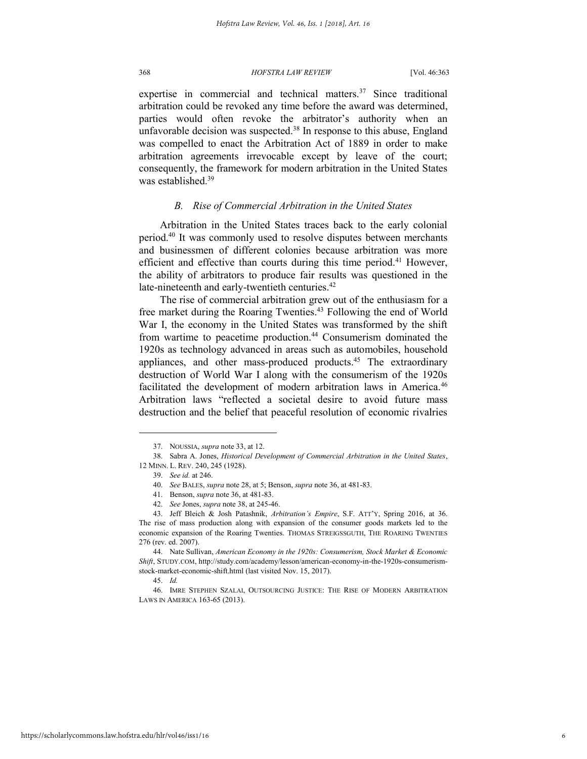expertise in commercial and technical matters. $37$  Since traditional arbitration could be revoked any time before the award was determined, parties would often revoke the arbitrator's authority when an unfavorable decision was suspected. $38$  In response to this abuse, England was compelled to enact the Arbitration Act of 1889 in order to make arbitration agreements irrevocable except by leave of the court; consequently, the framework for modern arbitration in the United States was established.<sup>39</sup>

#### *B. Rise of Commercial Arbitration in the United States*

Arbitration in the United States traces back to the early colonial period.<sup>40</sup> It was commonly used to resolve disputes between merchants and businessmen of different colonies because arbitration was more efficient and effective than courts during this time period.<sup>41</sup> However, the ability of arbitrators to produce fair results was questioned in the late-nineteenth and early-twentieth centuries.<sup>42</sup>

The rise of commercial arbitration grew out of the enthusiasm for a free market during the Roaring Twenties.<sup>43</sup> Following the end of World War I, the economy in the United States was transformed by the shift from wartime to peacetime production.<sup>44</sup> Consumerism dominated the 1920s as technology advanced in areas such as automobiles, household appliances, and other mass-produced products.<sup>45</sup> The extraordinary destruction of World War I along with the consumerism of the 1920s facilitated the development of modern arbitration laws in America.<sup>46</sup> Arbitration laws "reflected a societal desire to avoid future mass destruction and the belief that peaceful resolution of economic rivalries

<sup>37.</sup> NOUSSIA, *supra* note 33, at 12.

<sup>38.</sup> Sabra A. Jones, *Historical Development of Commercial Arbitration in the United States*, 12 MINN. L. REV. 240, 245 (1928).

<sup>39.</sup> *See id.* at 246.

<sup>40.</sup> *See* BALES, *supra* note 28, at 5; Benson, *supra* note 36, at 481-83.

<sup>41.</sup> Benson, *supra* note 36, at 481-83.

<sup>42.</sup> *See* Jones, *supra* note 38, at 245-46.

<sup>43.</sup> Jeff Bleich & Josh Patashnik, *Arbitration's Empire*, S.F. ATT'Y, Spring 2016, at 36. The rise of mass production along with expansion of the consumer goods markets led to the economic expansion of the Roaring Twenties. THOMAS STREIGSSGUTH, THE ROARING TWENTIES 276 (rev. ed. 2007).

<sup>44.</sup> Nate Sullivan, *American Economy in the 1920s: Consumerism, Stock Market & Economic Shift*, STUDY.COM, http://study.com/academy/lesson/american-economy-in-the-1920s-consumerismstock-market-economic-shift.html (last visited Nov. 15, 2017).

<sup>45.</sup> *Id.*

<sup>46.</sup> IMRE STEPHEN SZALAI, OUTSOURCING JUSTICE: THE RISE OF MODERN ARBITRATION LAWS IN AMERICA 163-65 (2013).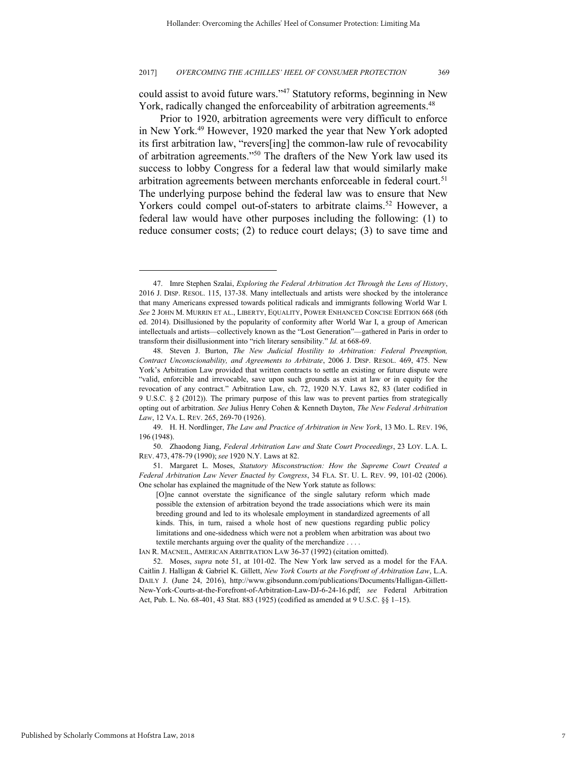could assist to avoid future wars."<sup>47</sup> Statutory reforms, beginning in New York, radically changed the enforceability of arbitration agreements.<sup>48</sup>

Prior to 1920, arbitration agreements were very difficult to enforce in New York.<sup>49</sup> However, 1920 marked the year that New York adopted its first arbitration law, "revers[ing] the common-law rule of revocability of arbitration agreements."<sup>50</sup> The drafters of the New York law used its success to lobby Congress for a federal law that would similarly make arbitration agreements between merchants enforceable in federal court.<sup>51</sup> The underlying purpose behind the federal law was to ensure that New Yorkers could compel out-of-staters to arbitrate claims.<sup>52</sup> However, a federal law would have other purposes including the following: (1) to reduce consumer costs; (2) to reduce court delays; (3) to save time and

<sup>47.</sup> Imre Stephen Szalai, *Exploring the Federal Arbitration Act Through the Lens of History*, 2016 J. DISP. RESOL. 115, 137-38. Many intellectuals and artists were shocked by the intolerance that many Americans expressed towards political radicals and immigrants following World War I. *See* 2 JOHN M. MURRIN ET AL., LIBERTY, EQUALITY, POWER ENHANCED CONCISE EDITION 668 (6th ed. 2014). Disillusioned by the popularity of conformity after World War I, a group of American intellectuals and artists—collectively known as the "Lost Generation"—gathered in Paris in order to transform their disillusionment into "rich literary sensibility." *Id.* at 668-69.

<sup>48.</sup> Steven J. Burton, *The New Judicial Hostility to Arbitration: Federal Preemption, Contract Unconscionability, and Agreements to Arbitrate*, 2006 J. DISP. RESOL. 469, 475. New York's Arbitration Law provided that written contracts to settle an existing or future dispute were "valid, enforcible and irrevocable, save upon such grounds as exist at law or in equity for the revocation of any contract." Arbitration Law, ch. 72, 1920 N.Y. Laws 82, 83 (later codified in 9 U.S.C. § 2 (2012)). The primary purpose of this law was to prevent parties from strategically opting out of arbitration. *See* Julius Henry Cohen & Kenneth Dayton, *The New Federal Arbitration Law*, 12 VA. L. REV. 265, 269-70 (1926).

<sup>49.</sup> H. H. Nordlinger, *The Law and Practice of Arbitration in New York*, 13 MO. L. REV. 196, 196 (1948).

<sup>50.</sup> Zhaodong Jiang, *Federal Arbitration Law and State Court Proceedings*, 23 LOY. L.A. L. REV. 473, 478-79 (1990); *see* 1920 N.Y. Laws at 82.

<sup>51.</sup> Margaret L. Moses, *Statutory Misconstruction: How the Supreme Court Created a Federal Arbitration Law Never Enacted by Congress*, 34 FLA. ST. U. L. REV. 99, 101-02 (2006). One scholar has explained the magnitude of the New York statute as follows:

<sup>[</sup>O]ne cannot overstate the significance of the single salutary reform which made possible the extension of arbitration beyond the trade associations which were its main breeding ground and led to its wholesale employment in standardized agreements of all kinds. This, in turn, raised a whole host of new questions regarding public policy limitations and one-sidedness which were not a problem when arbitration was about two textile merchants arguing over the quality of the merchandize . . . .

IAN R. MACNEIL, AMERICAN ARBITRATION LAW 36-37 (1992) (citation omitted).

<sup>52.</sup> Moses, *supra* note 51, at 101-02. The New York law served as a model for the FAA. Caitlin J. Halligan & Gabriel K. Gillett, *New York Courts at the Forefront of Arbitration Law*, L.A. DAILY J. (June 24, 2016), http://www.gibsondunn.com/publications/Documents/Halligan-Gillett-New-York-Courts-at-the-Forefront-of-Arbitration-Law-DJ-6-24-16.pdf; *see* Federal Arbitration Act, Pub. L. No. 68-401, 43 Stat. 883 (1925) (codified as amended at 9 U.S.C. §§ 1–15).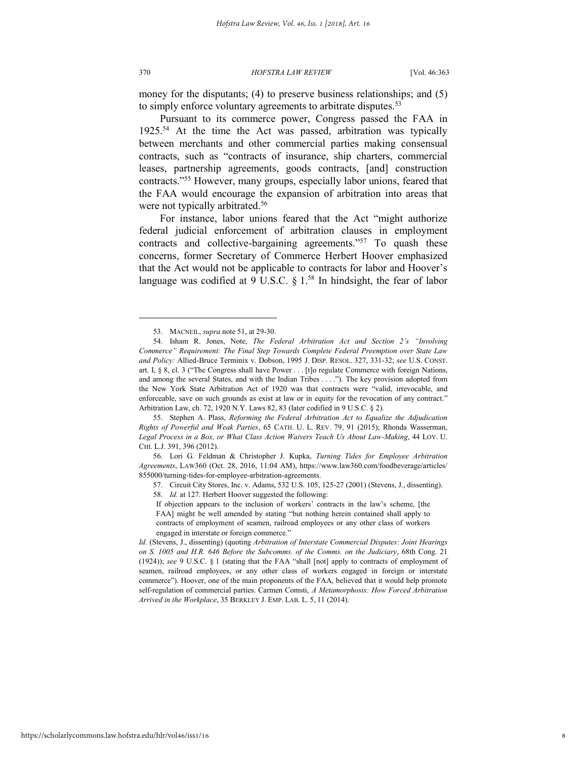370 *HOFSTRA LAW REVIEW* [Vol. 46:363

money for the disputants; (4) to preserve business relationships; and (5) to simply enforce voluntary agreements to arbitrate disputes.<sup>53</sup>

Pursuant to its commerce power, Congress passed the FAA in 1925.<sup>54</sup> At the time the Act was passed, arbitration was typically between merchants and other commercial parties making consensual contracts, such as "contracts of insurance, ship charters, commercial leases, partnership agreements, goods contracts, [and] construction contracts."<sup>55</sup> However, many groups, especially labor unions, feared that the FAA would encourage the expansion of arbitration into areas that were not typically arbitrated.<sup>56</sup>

For instance, labor unions feared that the Act "might authorize federal judicial enforcement of arbitration clauses in employment contracts and collective-bargaining agreements."<sup>57</sup> To quash these concerns, former Secretary of Commerce Herbert Hoover emphasized that the Act would not be applicable to contracts for labor and Hoover's language was codified at  $9 \text{ U.S.C. }$   $8 \text{ 1.}^{58}$  In hindsight, the fear of labor

55. Stephen A. Plass, *Reforming the Federal Arbitration Act to Equalize the Adjudication Rights of Powerful and Weak Parties*, 65 CATH. U. L. REV. 79, 91 (2015); Rhonda Wasserman, *Legal Process in a Box, or What Class Action Waivers Teach Us About Law-Making*, 44 LOY. U. CHI. L.J. 391, 396 (2012).

57. Circuit City Stores, Inc. v. Adams, 532 U.S. 105, 125-27 (2001) (Stevens, J., dissenting).

58. *Id.* at 127. Herbert Hoover suggested the following:

<sup>53.</sup> MACNEIL, *supra* note 51, at 29-30.

<sup>54.</sup> Isham R. Jones, Note, *The Federal Arbitration Act and Section 2's "Involving Commerce" Requirement: The Final Step Towards Complete Federal Preemption over State Law and Policy:* Allied-Bruce Terminix v. Dobson, 1995 J. DISP. RESOL. 327, 331-32; *see* U.S. CONST. art. I, § 8, cl. 3 ("The Congress shall have Power . . . [t]o regulate Commerce with foreign Nations, and among the several States, and with the Indian Tribes . . . ."). The key provision adopted from the New York State Arbitration Act of 1920 was that contracts were "valid, irrevocable, and enforceable, save on such grounds as exist at law or in equity for the revocation of any contract." Arbitration Law, ch. 72, 1920 N.Y. Laws 82, 83 (later codified in 9 U.S.C. § 2).

<sup>56.</sup> Lori G. Feldman & Christopher J. Kupka, *Turning Tides for Employee Arbitration Agreements*, LAW360 (Oct. 28, 2016, 11:04 AM), https://www.law360.com/foodbeverage/articles/ 855000/turning-tides-for-employee-arbitration-agreements.

If objection appears to the inclusion of workers' contracts in the law's scheme, [the FAA] might be well amended by stating "but nothing herein contained shall apply to contracts of employment of seamen, railroad employees or any other class of workers engaged in interstate or foreign commerce."

*Id.* (Stevens, J., dissenting) (quoting *Arbitration of Interstate Commercial Disputes*: *Joint Hearings on S. 1005 and H.R. 646 Before the Subcomms. of the Comms. on the Judiciary*, 68th Cong. 21 (1924)); *see* 9 U.S.C. § 1 (stating that the FAA "shall [not] apply to contracts of employment of seamen, railroad employees, or any other class of workers engaged in foreign or interstate commerce"). Hoover, one of the main proponents of the FAA, believed that it would help promote self-regulation of commercial parties. Carmen Comsti, *A Metamorphosis: How Forced Arbitration Arrived in the Workplace*, 35 BERKLEY J. EMP. LAB. L. 5, 11 (2014).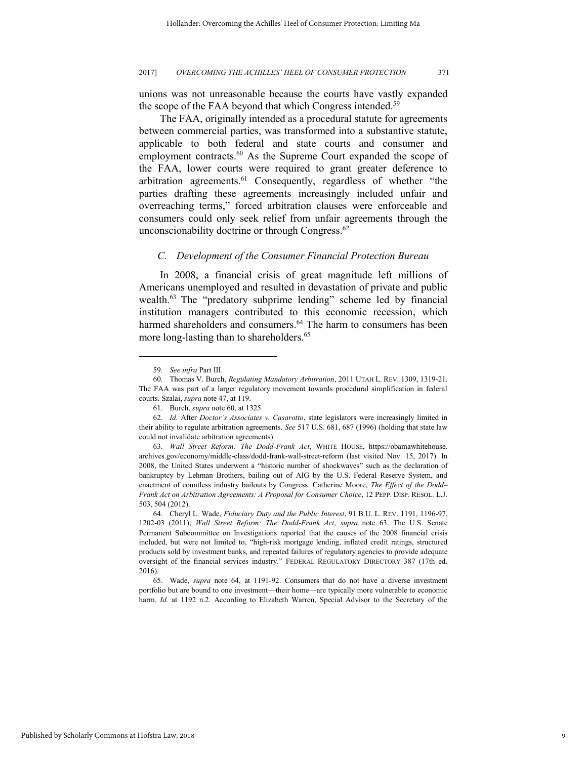unions was not unreasonable because the courts have vastly expanded the scope of the FAA beyond that which Congress intended.<sup>59</sup>

The FAA, originally intended as a procedural statute for agreements between commercial parties, was transformed into a substantive statute, applicable to both federal and state courts and consumer and employment contracts.<sup>60</sup> As the Supreme Court expanded the scope of the FAA, lower courts were required to grant greater deference to arbitration agreements.<sup>61</sup> Consequently, regardless of whether "the parties drafting these agreements increasingly included unfair and overreaching terms," forced arbitration clauses were enforceable and consumers could only seek relief from unfair agreements through the unconscionability doctrine or through Congress.<sup>62</sup>

#### *C. Development of the Consumer Financial Protection Bureau*

In 2008, a financial crisis of great magnitude left millions of Americans unemployed and resulted in devastation of private and public wealth.<sup>63</sup> The "predatory subprime lending" scheme led by financial institution managers contributed to this economic recession, which harmed shareholders and consumers.<sup>64</sup> The harm to consumers has been more long-lasting than to shareholders.<sup>65</sup>

<sup>59.</sup> *See infra* Part III.

<sup>60.</sup> Thomas V. Burch, *Regulating Mandatory Arbitration*, 2011 UTAH L. REV. 1309, 1319-21. The FAA was part of a larger regulatory movement towards procedural simplification in federal courts. Szalai, *supra* note 47, at 119.

<sup>61.</sup> Burch, *supra* note 60, at 1325.

<sup>62.</sup> *Id.* After *Doctor's Associates v. Casarotto*, state legislators were increasingly limited in their ability to regulate arbitration agreements. *See* 517 U.S. 681, 687 (1996) (holding that state law could not invalidate arbitration agreements).

<sup>63.</sup> *Wall Street Reform: The Dodd-Frank Act*, WHITE HOUSE, https://obamawhitehouse. archives.gov/economy/middle-class/dodd-frank-wall-street-reform (last visited Nov. 15, 2017). In 2008, the United States underwent a "historic number of shockwaves" such as the declaration of bankruptcy by Lehman Brothers, bailing out of AIG by the U.S. Federal Reserve System, and enactment of countless industry bailouts by Congress. Catherine Moore, *The Effect of the Dodd– Frank Act on Arbitration Agreements: A Proposal for Consumer Choice*, 12 PEPP. DISP. RESOL. L.J. 503, 504 (2012).

<sup>64.</sup> Cheryl L. Wade, *Fiduciary Duty and the Public Interest*, 91 B.U. L. REV. 1191, 1196-97, 1202-03 (2011); *Wall Street Reform: The Dodd-Frank Act*, *supra* note 63. The U.S. Senate Permanent Subcommittee on Investigations reported that the causes of the 2008 financial crisis included, but were not limited to, "high-risk mortgage lending, inflated credit ratings, structured products sold by investment banks, and repeated failures of regulatory agencies to provide adequate oversight of the financial services industry." FEDERAL REGULATORY DIRECTORY 387 (17th ed. 2016).

<sup>65.</sup> Wade, *supra* note 64, at 1191-92. Consumers that do not have a diverse investment portfolio but are bound to one investment—their home—are typically more vulnerable to economic harm. *Id.* at 1192 n.2. According to Elizabeth Warren, Special Advisor to the Secretary of the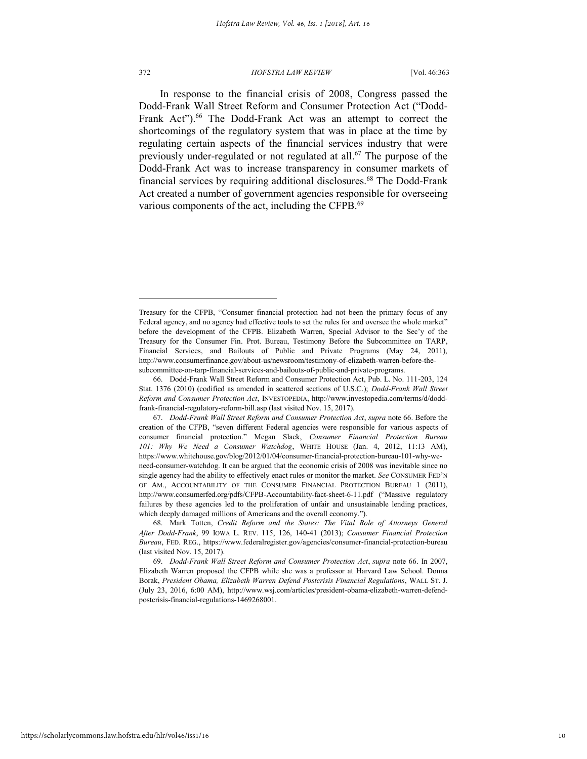#### 372 *HOFSTRA LAW REVIEW* [Vol. 46:363

In response to the financial crisis of 2008, Congress passed the Dodd-Frank Wall Street Reform and Consumer Protection Act ("Dodd-Frank Act").<sup>66</sup> The Dodd-Frank Act was an attempt to correct the shortcomings of the regulatory system that was in place at the time by regulating certain aspects of the financial services industry that were previously under-regulated or not regulated at all.<sup>67</sup> The purpose of the Dodd-Frank Act was to increase transparency in consumer markets of financial services by requiring additional disclosures.<sup>68</sup> The Dodd-Frank Act created a number of government agencies responsible for overseeing various components of the act, including the CFPB.<sup>69</sup>

Treasury for the CFPB, "Consumer financial protection had not been the primary focus of any Federal agency, and no agency had effective tools to set the rules for and oversee the whole market" before the development of the CFPB. Elizabeth Warren, Special Advisor to the Sec'y of the Treasury for the Consumer Fin. Prot. Bureau, Testimony Before the Subcommittee on TARP, Financial Services, and Bailouts of Public and Private Programs (May 24, 2011), http://www.consumerfinance.gov/about-us/newsroom/testimony-of-elizabeth-warren-before-thesubcommittee-on-tarp-financial-services-and-bailouts-of-public-and-private-programs.

<sup>66.</sup> Dodd-Frank Wall Street Reform and Consumer Protection Act, Pub. L. No. 111-203, 124 Stat. 1376 (2010) (codified as amended in scattered sections of U.S.C.); *Dodd-Frank Wall Street Reform and Consumer Protection Act*, INVESTOPEDIA, http://www.investopedia.com/terms/d/doddfrank-financial-regulatory-reform-bill.asp (last visited Nov. 15, 2017).

<sup>67.</sup> *Dodd-Frank Wall Street Reform and Consumer Protection Act*, *supra* note 66. Before the creation of the CFPB, "seven different Federal agencies were responsible for various aspects of consumer financial protection." Megan Slack, *Consumer Financial Protection Bureau 101: Why We Need a Consumer Watchdog*, WHITE HOUSE (Jan. 4, 2012, 11:13 AM), https://www.whitehouse.gov/blog/2012/01/04/consumer-financial-protection-bureau-101-why-weneed-consumer-watchdog. It can be argued that the economic crisis of 2008 was inevitable since no single agency had the ability to effectively enact rules or monitor the market. *See* CONSUMER FED'N OF AM., ACCOUNTABILITY OF THE CONSUMER FINANCIAL PROTECTION BUREAU 1 (2011), http://www.consumerfed.org/pdfs/CFPB-Accountability-fact-sheet-6-11.pdf ("Massive regulatory failures by these agencies led to the proliferation of unfair and unsustainable lending practices, which deeply damaged millions of Americans and the overall economy.").

<sup>68.</sup> Mark Totten, *Credit Reform and the States: The Vital Role of Attorneys General After Dodd-Frank*, 99 IOWA L. REV. 115, 126, 140-41 (2013); *Consumer Financial Protection Bureau*, FED. REG., https://www.federalregister.gov/agencies/consumer-financial-protection-bureau (last visited Nov. 15, 2017).

<sup>69.</sup> *Dodd-Frank Wall Street Reform and Consumer Protection Act*, *supra* note 66. In 2007, Elizabeth Warren proposed the CFPB while she was a professor at Harvard Law School. Donna Borak, *President Obama, Elizabeth Warren Defend Postcrisis Financial Regulations*, WALL ST. J. (July 23, 2016, 6:00 AM), http://www.wsj.com/articles/president-obama-elizabeth-warren-defendpostcrisis-financial-regulations-1469268001.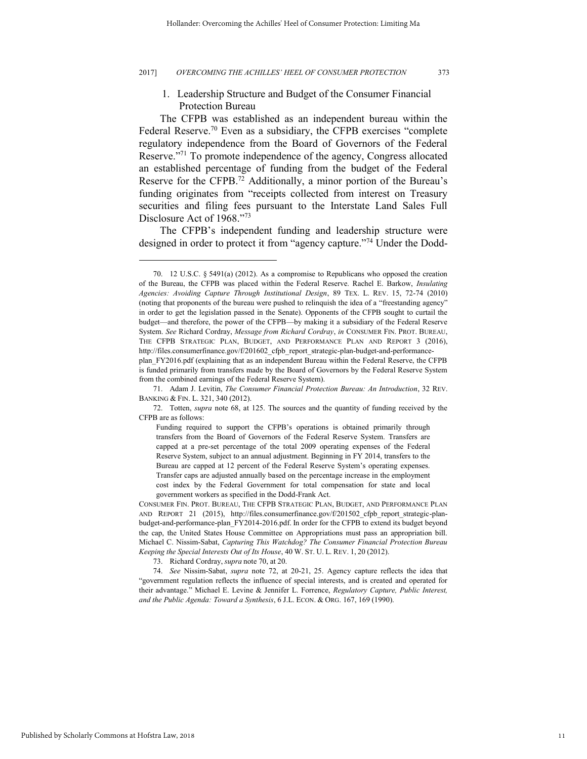## 1. Leadership Structure and Budget of the Consumer Financial Protection Bureau

The CFPB was established as an independent bureau within the Federal Reserve.<sup>70</sup> Even as a subsidiary, the CFPB exercises "complete regulatory independence from the Board of Governors of the Federal Reserve."<sup>71</sup> To promote independence of the agency, Congress allocated an established percentage of funding from the budget of the Federal Reserve for the CFPB.<sup>72</sup> Additionally, a minor portion of the Bureau's funding originates from "receipts collected from interest on Treasury securities and filing fees pursuant to the Interstate Land Sales Full Disclosure Act of 1968."<sup>73</sup>

The CFPB's independent funding and leadership structure were designed in order to protect it from "agency capture."<sup>74</sup> Under the Dodd-

<sup>70. 12</sup> U.S.C. § 5491(a) (2012). As a compromise to Republicans who opposed the creation of the Bureau, the CFPB was placed within the Federal Reserve. Rachel E. Barkow, *Insulating Agencies: Avoiding Capture Through Institutional Design*, 89 TEX. L. REV. 15, 72-74 (2010) (noting that proponents of the bureau were pushed to relinquish the idea of a "freestanding agency" in order to get the legislation passed in the Senate). Opponents of the CFPB sought to curtail the budget—and therefore, the power of the CFPB—by making it a subsidiary of the Federal Reserve System. *See* Richard Cordray, *Message from Richard Cordray*, *in* CONSUMER FIN. PROT. BUREAU, THE CFPB STRATEGIC PLAN, BUDGET, AND PERFORMANCE PLAN AND REPORT 3 (2016), http://files.consumerfinance.gov/f/201602\_cfpb\_report\_strategic-plan-budget-and-performance-

plan\_FY2016.pdf (explaining that as an independent Bureau within the Federal Reserve, the CFPB is funded primarily from transfers made by the Board of Governors by the Federal Reserve System from the combined earnings of the Federal Reserve System).

<sup>71.</sup> Adam J. Levitin, *The Consumer Financial Protection Bureau: An Introduction*, 32 REV. BANKING & FIN. L. 321, 340 (2012).

<sup>72.</sup> Totten, *supra* note 68, at 125. The sources and the quantity of funding received by the CFPB are as follows:

Funding required to support the CFPB's operations is obtained primarily through transfers from the Board of Governors of the Federal Reserve System. Transfers are capped at a pre-set percentage of the total 2009 operating expenses of the Federal Reserve System, subject to an annual adjustment. Beginning in FY 2014, transfers to the Bureau are capped at 12 percent of the Federal Reserve System's operating expenses. Transfer caps are adjusted annually based on the percentage increase in the employment cost index by the Federal Government for total compensation for state and local government workers as specified in the Dodd-Frank Act.

CONSUMER FIN. PROT. BUREAU, THE CFPB STRATEGIC PLAN, BUDGET, AND PERFORMANCE PLAN AND REPORT 21 (2015), http://files.consumerfinance.gov/f/201502 cfpb report strategic-planbudget-and-performance-plan\_FY2014-2016.pdf. In order for the CFPB to extend its budget beyond the cap, the United States House Committee on Appropriations must pass an appropriation bill. Michael C. Nissim-Sabat, *Capturing This Watchdog? The Consumer Financial Protection Bureau Keeping the Special Interests Out of Its House*, 40 W. ST. U. L. REV. 1, 20 (2012).

<sup>73.</sup> Richard Cordray, *supra* note 70, at 20.

<sup>74.</sup> *See* Nissim-Sabat, *supra* note 72, at 20-21, 25. Agency capture reflects the idea that "government regulation reflects the influence of special interests, and is created and operated for their advantage." Michael E. Levine & Jennifer L. Forrence, *Regulatory Capture, Public Interest, and the Public Agenda: Toward a Synthesis*, 6 J.L. ECON. & ORG. 167, 169 (1990).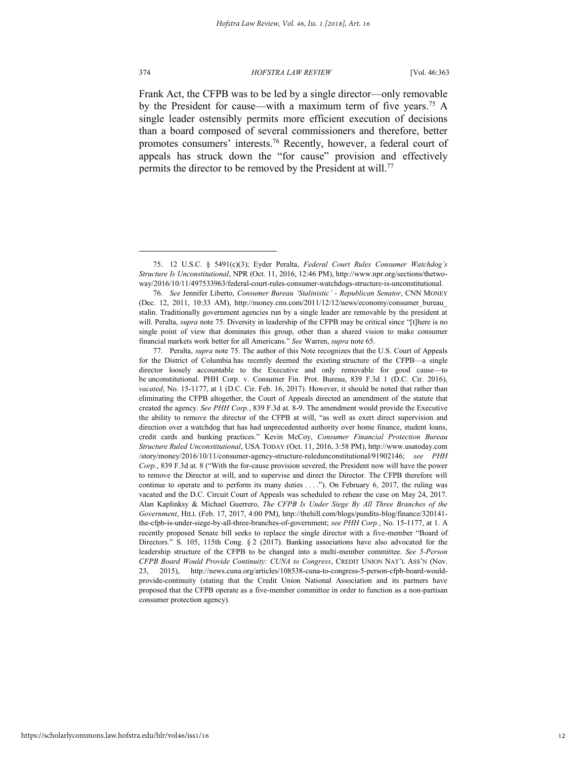#### 374 *HOFSTRA LAW REVIEW* [Vol. 46:363

Frank Act, the CFPB was to be led by a single director—only removable by the President for cause—with a maximum term of five years.<sup>75</sup> A single leader ostensibly permits more efficient execution of decisions than a board composed of several commissioners and therefore, better promotes consumers' interests.<sup>76</sup> Recently, however, a federal court of appeals has struck down the "for cause" provision and effectively permits the director to be removed by the President at will.<sup>77</sup>

<sup>75. 12</sup> U.S.C. § 5491(c)(3); Eyder Peralta, *Federal Court Rules Consumer Watchdog's Structure Is Unconstitutional*, NPR (Oct. 11, 2016, 12:46 PM), http://www.npr.org/sections/thetwoway/2016/10/11/497533963/federal-court-rules-consumer-watchdogs-structure-is-unconstitutional.

<sup>76.</sup> *See* Jennifer Liberto, *Consumer Bureau 'Stalinistic' - Republican Senator*, CNN MONEY (Dec. 12, 2011, 10:33 AM), http://money.cnn.com/2011/12/12/news/economy/consumer\_bureau\_ stalin. Traditionally government agencies run by a single leader are removable by the president at will. Peralta, *supra* note 75. Diversity in leadership of the CFPB may be critical since "[t]here is no single point of view that dominates this group, other than a shared vision to make consumer financial markets work better for all Americans." *See* Warren, *supra* note 65.

<sup>77.</sup> Peralta, *supra* note 75. The author of this Note recognizes that the U.S. Court of Appeals for the District of Columbia has recently deemed the existing structure of the CFPB—a single director loosely accountable to the Executive and only removable for good cause—to be unconstitutional. PHH Corp. v. Consumer Fin. Prot. Bureau, 839 F.3d 1 (D.C. Cir. 2016), *vacated*, No. 15-1177, at 1 (D.C. Cir. Feb. 16, 2017). However, it should be noted that rather than eliminating the CFPB altogether, the Court of Appeals directed an amendment of the statute that created the agency. *See PHH Corp.*, 839 F.3d at. 8-9. The amendment would provide the Executive the ability to remove the director of the CFPB at will, "as well as exert direct supervision and direction over a watchdog that has had unprecedented authority over home finance, student loans, credit cards and banking practices." Kevin McCoy, *Consumer Financial Protection Bureau Structure Ruled Unconstitutional*, USA TODAY (Oct. 11, 2016, 3:58 PM), http://www.usatoday.com /story/money/2016/10/11/consumer-agency-structure-ruledunconstitutional/91902146; *see PHH Corp.*, 839 F.3d at. 8 ("With the for-cause provision severed, the President now will have the power to remove the Director at will, and to supervise and direct the Director. The CFPB therefore will continue to operate and to perform its many duties . . . ."). On February 6, 2017, the ruling was vacated and the D.C. Circuit Court of Appeals was scheduled to rehear the case on May 24, 2017. Alan Kaplinksy & Michael Guerrero, *The CFPB Is Under Siege By All Three Branches of the Government*, HILL (Feb. 17, 2017, 4:00 PM), http://thehill.com/blogs/pundits-blog/finance/320141 the-cfpb-is-under-siege-by-all-three-branches-of-government; *see PHH Corp.*, No. 15-1177, at 1. A recently proposed Senate bill seeks to replace the single director with a five-member "Board of Directors." S. 105, 115th Cong. § 2 (2017). Banking associations have also advocated for the leadership structure of the CFPB to be changed into a multi-member committee. *See 5-Person CFPB Board Would Provide Continuity: CUNA to Congress*, CREDIT UNION NAT'L ASS'N (Nov. 23, 2015), http://news.cuna.org/articles/108538-cuna-to-congress-5-person-cfpb-board-wouldprovide-continuity (stating that the Credit Union National Association and its partners have proposed that the CFPB operate as a five-member committee in order to function as a non-partisan consumer protection agency).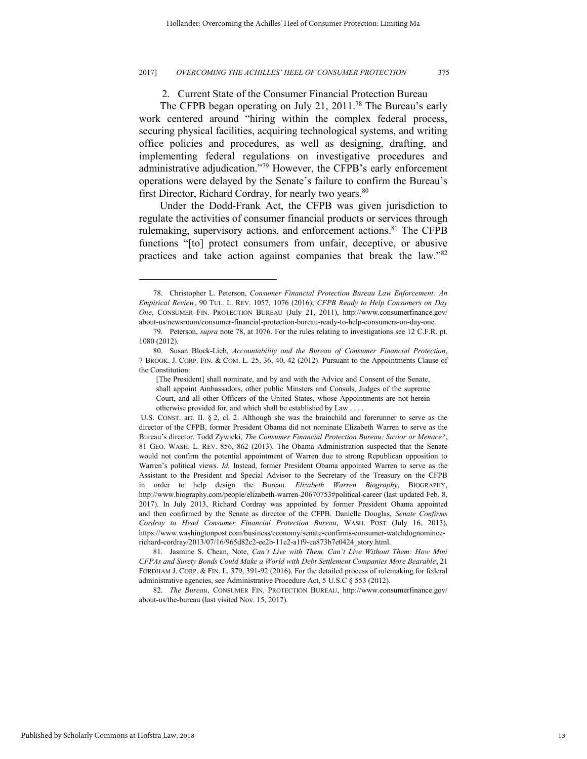2. Current State of the Consumer Financial Protection Bureau

The CFPB began operating on July 21, 2011.<sup>78</sup> The Bureau's early work centered around "hiring within the complex federal process, securing physical facilities, acquiring technological systems, and writing office policies and procedures, as well as designing, drafting, and implementing federal regulations on investigative procedures and administrative adjudication."<sup>79</sup> However, the CFPB's early enforcement operations were delayed by the Senate's failure to confirm the Bureau's first Director, Richard Cordray, for nearly two years.<sup>80</sup>

Under the Dodd-Frank Act, the CFPB was given jurisdiction to regulate the activities of consumer financial products or services through rulemaking, supervisory actions, and enforcement actions.<sup>81</sup> The CFPB functions "[to] protect consumers from unfair, deceptive, or abusive practices and take action against companies that break the law."<sup>82</sup>

82. *The Bureau*, CONSUMER FIN. PROTECTION BUREAU, http://www.consumerfinance.gov/ about-us/the-bureau (last visited Nov. 15, 2017).

<sup>78.</sup> Christopher L. Peterson, *Consumer Financial Protection Bureau Law Enforcement: An Empirical Review*, 90 TUL. L. REV. 1057, 1076 (2016); *CFPB Ready to Help Consumers on Day One*, CONSUMER FIN. PROTECTION BUREAU (July 21, 2011), http://www.consumerfinance.gov/ about-us/newsroom/consumer-financial-protection-bureau-ready-to-help-consumers-on-day-one.

<sup>79.</sup> Peterson, *supra* note 78, at 1076. For the rules relating to investigations see 12 C.F.R. pt. 1080 (2012).

<sup>80.</sup> Susan Block-Lieb, *Accountability and the Bureau of Consumer Financial Protection*, 7 BROOK. J. CORP. FIN. & COM. L. 25, 36, 40, 42 (2012). Pursuant to the Appointments Clause of the Constitution:

<sup>[</sup>The President] shall nominate, and by and with the Advice and Consent of the Senate, shall appoint Ambassadors, other public Minsters and Consuls, Judges of the supreme Court, and all other Officers of the United States, whose Appointments are not herein otherwise provided for, and which shall be established by Law . . . .

U.S. CONST. art. II. § 2, cl. 2. Although she was the brainchild and forerunner to serve as the director of the CFPB, former President Obama did not nominate Elizabeth Warren to serve as the Bureau's director. Todd Zywicki, *The Consumer Financial Protection Bureau: Savior or Menace?*, 81 GEO. WASH. L. REV. 856, 862 (2013). The Obama Administration suspected that the Senate would not confirm the potential appointment of Warren due to strong Republican opposition to Warren's political views. *Id.* Instead, former President Obama appointed Warren to serve as the Assistant to the President and Special Advisor to the Secretary of the Treasury on the CFPB in order to help design the Bureau. *Elizabeth Warren Biography*, BIOGRAPHY, http://www.biography.com/people/elizabeth-warren-20670753#political-career (last updated Feb. 8, 2017). In July 2013, Richard Cordray was appointed by former President Obama appointed and then confirmed by the Senate as director of the CFPB. Danielle Douglas, *Senate Confirms Cordray to Head Consumer Financial Protection Bureau*, WASH. POST (July 16, 2013), https://www.washingtonpost.com/business/economy/senate-confirms-consumer-watchdognomineerichard-cordray/2013/07/16/965d82c2-ee2b-11e2-a1f9-ea873b7e0424\_story.html.

<sup>81.</sup> Jasmine S. Chean, Note, *Can't Live with Them, Can't Live Without Them: How Mini CFPAs and Surety Bonds Could Make a World with Debt Settlement Companies More Bearable*, 21 FORDHAM J. CORP. & FIN. L. 379, 391-92 (2016). For the detailed process of rulemaking for federal administrative agencies, see Administrative Procedure Act, 5 U.S.C § 553 (2012).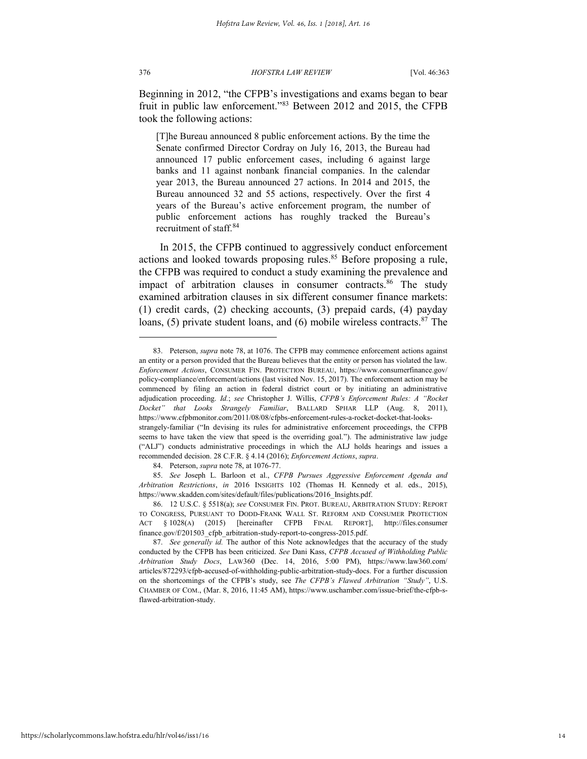376 *HOFSTRA LAW REVIEW* [Vol. 46:363

Beginning in 2012, "the CFPB's investigations and exams began to bear fruit in public law enforcement."<sup>83</sup> Between 2012 and 2015, the CFPB took the following actions:

[T]he Bureau announced 8 public enforcement actions. By the time the Senate confirmed Director Cordray on July 16, 2013, the Bureau had announced 17 public enforcement cases, including 6 against large banks and 11 against nonbank financial companies. In the calendar year 2013, the Bureau announced 27 actions. In 2014 and 2015, the Bureau announced 32 and 55 actions, respectively. Over the first 4 years of the Bureau's active enforcement program, the number of public enforcement actions has roughly tracked the Bureau's recruitment of staff.<sup>84</sup>

In 2015, the CFPB continued to aggressively conduct enforcement actions and looked towards proposing rules.<sup>85</sup> Before proposing a rule, the CFPB was required to conduct a study examining the prevalence and impact of arbitration clauses in consumer contracts.<sup>86</sup> The study examined arbitration clauses in six different consumer finance markets: (1) credit cards, (2) checking accounts, (3) prepaid cards, (4) payday loans, (5) private student loans, and (6) mobile wireless contracts.<sup>87</sup> The

<sup>83.</sup> Peterson, *supra* note 78, at 1076. The CFPB may commence enforcement actions against an entity or a person provided that the Bureau believes that the entity or person has violated the law. *Enforcement Actions*, CONSUMER FIN. PROTECTION BUREAU, https://www.consumerfinance.gov/ policy-compliance/enforcement/actions (last visited Nov. 15, 2017). The enforcement action may be commenced by filing an action in federal district court or by initiating an administrative adjudication proceeding. *Id.*; *see* Christopher J. Willis, *CFPB's Enforcement Rules: A "Rocket Docket" that Looks Strangely Familiar*, BALLARD SPHAR LLP (Aug. 8, 2011), https://www.cfpbmonitor.com/2011/08/08/cfpbs-enforcement-rules-a-rocket-docket-that-looksstrangely-familiar ("In devising its rules for administrative enforcement proceedings, the CFPB seems to have taken the view that speed is the overriding goal."). The administrative law judge ("ALJ") conducts administrative proceedings in which the ALJ holds hearings and issues a recommended decision. 28 C.F.R. § 4.14 (2016); *Enforcement Actions*, *supra*.

<sup>84.</sup> Peterson, *supra* note 78, at 1076-77.

<sup>85.</sup> *See* Joseph L. Barloon et al., *CFPB Pursues Aggressive Enforcement Agenda and Arbitration Restrictions*, *in* 2016 INSIGHTS 102 (Thomas H. Kennedy et al. eds., 2015), https://www.skadden.com/sites/default/files/publications/2016\_Insights.pdf.

<sup>86. 12</sup> U.S.C. § 5518(a); *see* CONSUMER FIN. PROT. BUREAU, ARBITRATION STUDY: REPORT TO CONGRESS, PURSUANT TO DODD-FRANK WALL ST. REFORM AND CONSUMER PROTECTION ACT § 1028(A) (2015) [hereinafter CFPB FINAL REPORT], http://files.consumer finance.gov/f/201503\_cfpb\_arbitration-study-report-to-congress-2015.pdf.

<sup>87.</sup> *See generally id.* The author of this Note acknowledges that the accuracy of the study conducted by the CFPB has been criticized. *See* Dani Kass, *CFPB Accused of Withholding Public Arbitration Study Docs*, LAW360 (Dec. 14, 2016, 5:00 PM), https://www.law360.com/ articles/872293/cfpb-accused-of-withholding-public-arbitration-study-docs. For a further discussion on the shortcomings of the CFPB's study, see *The CFPB's Flawed Arbitration "Study"*, U.S. CHAMBER OF COM., (Mar. 8, 2016, 11:45 AM), https://www.uschamber.com/issue-brief/the-cfpb-sflawed-arbitration-study.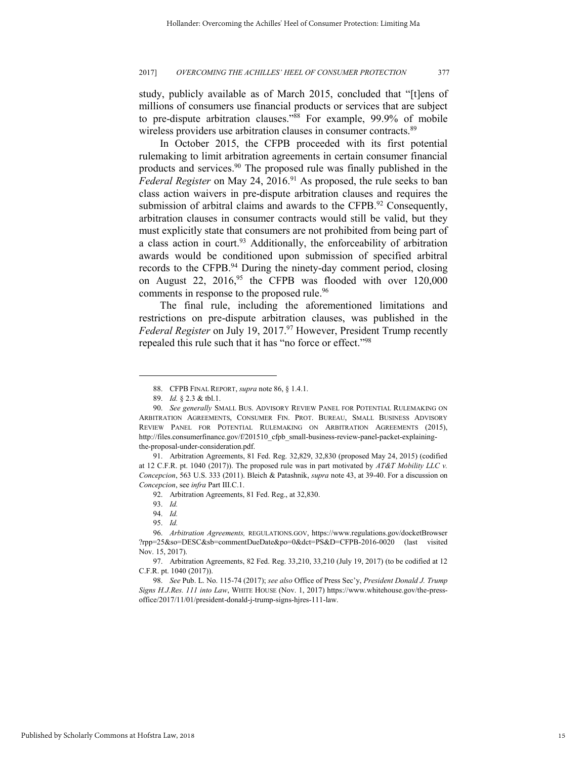study, publicly available as of March 2015, concluded that "[t]ens of millions of consumers use financial products or services that are subject to pre-dispute arbitration clauses." <sup>88</sup> For example, 99.9% of mobile wireless providers use arbitration clauses in consumer contracts.<sup>89</sup>

In October 2015, the CFPB proceeded with its first potential rulemaking to limit arbitration agreements in certain consumer financial products and services.<sup>90</sup> The proposed rule was finally published in the *Federal Register* on May 24, 2016.<sup>91</sup> As proposed, the rule seeks to ban class action waivers in pre-dispute arbitration clauses and requires the submission of arbitral claims and awards to the CFPB.<sup>92</sup> Consequently, arbitration clauses in consumer contracts would still be valid, but they must explicitly state that consumers are not prohibited from being part of a class action in court.<sup>93</sup> Additionally, the enforceability of arbitration awards would be conditioned upon submission of specified arbitral records to the CFPB.<sup>94</sup> During the ninety-day comment period, closing on August 22,  $2016<sup>95</sup>$  the CFPB was flooded with over  $120,000$ comments in response to the proposed rule.<sup>96</sup>

The final rule, including the aforementioned limitations and restrictions on pre-dispute arbitration clauses, was published in the *Federal Register* on July 19, 2017.<sup>97</sup> However, President Trump recently repealed this rule such that it has "no force or effect."<sup>98</sup>

l

95. *Id.*

<sup>88.</sup> CFPB FINAL REPORT, *supra* note 86, § 1.4.1.

<sup>89.</sup> *Id.* § 2.3 & tbl.1.

<sup>90.</sup> *See generally* SMALL BUS. ADVISORY REVIEW PANEL FOR POTENTIAL RULEMAKING ON ARBITRATION AGREEMENTS, CONSUMER FIN. PROT. BUREAU, SMALL BUSINESS ADVISORY REVIEW PANEL FOR POTENTIAL RULEMAKING ON ARBITRATION AGREEMENTS (2015), http://files.consumerfinance.gov/f/201510\_cfpb\_small-business-review-panel-packet-explainingthe-proposal-under-consideration.pdf.

<sup>91.</sup> Arbitration Agreements, 81 Fed. Reg. 32,829, 32,830 (proposed May 24, 2015) (codified at 12 C.F.R. pt. 1040 (2017)). The proposed rule was in part motivated by *AT&T Mobility LLC v. Concepcion*, 563 U.S. 333 (2011). Bleich & Patashnik, *supra* note 43, at 39-40. For a discussion on *Concepcion*, see *infra* Part III.C.1.

<sup>92.</sup> Arbitration Agreements, 81 Fed. Reg., at 32,830.

<sup>93.</sup> *Id.*

<sup>94.</sup> *Id.*

<sup>96.</sup> *Arbitration Agreements,* REGULATIONS.GOV, https://www.regulations.gov/docketBrowser ?rpp=25&so=DESC&sb=commentDueDate&po=0&dct=PS&D=CFPB-2016-0020 (last visited Nov. 15, 2017).

<sup>97.</sup> Arbitration Agreements, 82 Fed. Reg. 33,210, 33,210 (July 19, 2017) (to be codified at 12 C.F.R. pt. 1040 (2017)).

<sup>98.</sup> *See* Pub. L. No. 115-74 (2017); *see also* Office of Press Sec'y, *President Donald J. Trump Signs H.J.Res. 111 into Law*, WHITE HOUSE (Nov. 1, 2017) https://www.whitehouse.gov/the-pressoffice/2017/11/01/president-donald-j-trump-signs-hjres-111-law.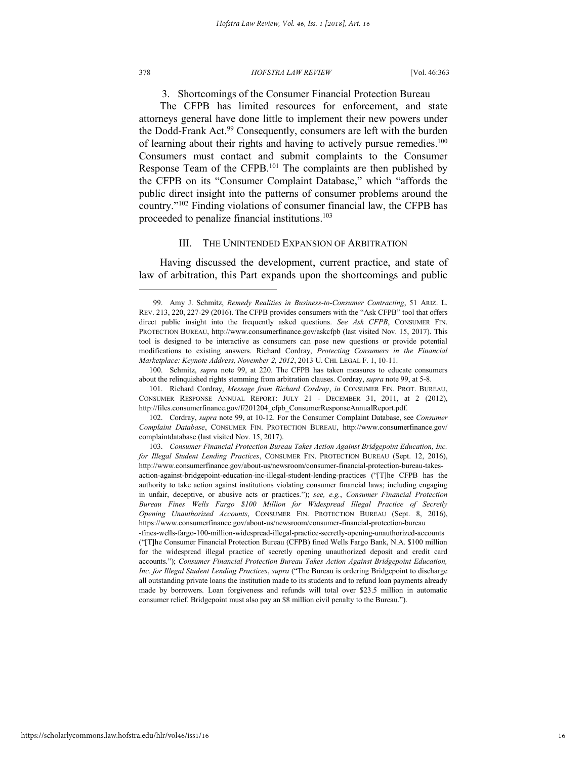378 *HOFSTRA LAW REVIEW* [Vol. 46:363

3. Shortcomings of the Consumer Financial Protection Bureau

The CFPB has limited resources for enforcement, and state attorneys general have done little to implement their new powers under the Dodd-Frank Act.<sup>99</sup> Consequently, consumers are left with the burden of learning about their rights and having to actively pursue remedies.<sup>100</sup> Consumers must contact and submit complaints to the Consumer Response Team of the CFPB.<sup>101</sup> The complaints are then published by the CFPB on its "Consumer Complaint Database," which "affords the public direct insight into the patterns of consumer problems around the country."<sup>102</sup> Finding violations of consumer financial law, the CFPB has proceeded to penalize financial institutions.<sup>103</sup>

### III. THE UNINTENDED EXPANSION OF ARBITRATION

Having discussed the development, current practice, and state of law of arbitration, this Part expands upon the shortcomings and public

101. Richard Cordray, *Message from Richard Cordray*, *in* CONSUMER FIN. PROT. BUREAU, CONSUMER RESPONSE ANNUAL REPORT: JULY 21 - DECEMBER 31, 2011, at 2 (2012), http://files.consumerfinance.gov/f/201204 cfpb ConsumerResponseAnnualReport.pdf.

<sup>99.</sup> Amy J. Schmitz, *Remedy Realities in Business-to-Consumer Contracting*, 51 ARIZ. L. REV. 213, 220, 227-29 (2016). The CFPB provides consumers with the "Ask CFPB" tool that offers direct public insight into the frequently asked questions. *See Ask CFPB*, CONSUMER FIN. PROTECTION BUREAU, http://www.consumerfinance.gov/askcfpb (last visited Nov. 15, 2017). This tool is designed to be interactive as consumers can pose new questions or provide potential modifications to existing answers. Richard Cordray, *Protecting Consumers in the Financial Marketplace: Keynote Address, November 2, 2012*, 2013 U. CHI. LEGAL F. 1, 10-11.

<sup>100.</sup> Schmitz, *supra* note 99, at 220. The CFPB has taken measures to educate consumers about the relinquished rights stemming from arbitration clauses. Cordray, *supra* note 99, at 5-8.

<sup>102.</sup> Cordray, *supra* note 99, at 10-12. For the Consumer Complaint Database, see *Consumer Complaint Database*, CONSUMER FIN. PROTECTION BUREAU, http://www.consumerfinance.gov/ complaintdatabase (last visited Nov. 15, 2017).

<sup>103.</sup> *Consumer Financial Protection Bureau Takes Action Against Bridgepoint Education, Inc. for Illegal Student Lending Practices*, CONSUMER FIN. PROTECTION BUREAU (Sept. 12, 2016), http://www.consumerfinance.gov/about-us/newsroom/consumer-financial-protection-bureau-takesaction-against-bridgepoint-education-inc-illegal-student-lending-practices ("[T]he CFPB has the authority to take action against institutions violating consumer financial laws; including engaging in unfair, deceptive, or abusive acts or practices."); *see, e.g.*, *Consumer Financial Protection Bureau Fines Wells Fargo \$100 Million for Widespread Illegal Practice of Secretly Opening Unauthorized Accounts*, CONSUMER FIN. PROTECTION BUREAU (Sept. 8, 2016), https://www.consumerfinance.gov/about-us/newsroom/consumer-financial-protection-bureau

<sup>-</sup>fines-wells-fargo-100-million-widespread-illegal-practice-secretly-opening-unauthorized-accounts ("[T]he Consumer Financial Protection Bureau (CFPB) fined Wells Fargo Bank, N.A. \$100 million for the widespread illegal practice of secretly opening unauthorized deposit and credit card accounts."); *Consumer Financial Protection Bureau Takes Action Against Bridgepoint Education, Inc. for Illegal Student Lending Practices*, *supra* ("The Bureau is ordering Bridgepoint to discharge all outstanding private loans the institution made to its students and to refund loan payments already made by borrowers. Loan forgiveness and refunds will total over \$23.5 million in automatic consumer relief. Bridgepoint must also pay an \$8 million civil penalty to the Bureau.").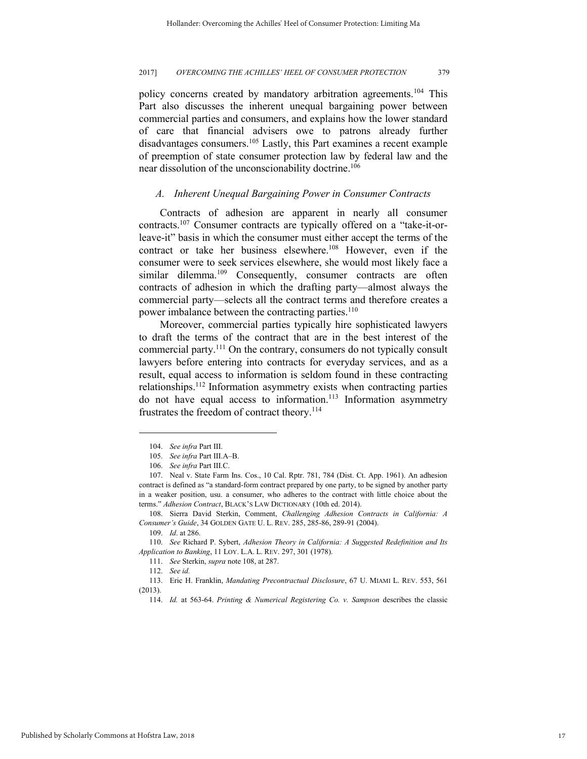policy concerns created by mandatory arbitration agreements.<sup>104</sup> This Part also discusses the inherent unequal bargaining power between commercial parties and consumers, and explains how the lower standard of care that financial advisers owe to patrons already further disadvantages consumers.<sup>105</sup> Lastly, this Part examines a recent example of preemption of state consumer protection law by federal law and the near dissolution of the unconscionability doctrine.<sup>106</sup>

#### *A. Inherent Unequal Bargaining Power in Consumer Contracts*

Contracts of adhesion are apparent in nearly all consumer contracts.107 Consumer contracts are typically offered on a "take-it-orleave-it" basis in which the consumer must either accept the terms of the contract or take her business elsewhere.<sup>108</sup> However, even if the consumer were to seek services elsewhere, she would most likely face a similar dilemma.<sup>109</sup> Consequently, consumer contracts are often contracts of adhesion in which the drafting party—almost always the commercial party—selects all the contract terms and therefore creates a power imbalance between the contracting parties.<sup>110</sup>

Moreover, commercial parties typically hire sophisticated lawyers to draft the terms of the contract that are in the best interest of the commercial party.<sup>111</sup> On the contrary, consumers do not typically consult lawyers before entering into contracts for everyday services, and as a result, equal access to information is seldom found in these contracting relationships.<sup>112</sup> Information asymmetry exists when contracting parties do not have equal access to information.<sup>113</sup> Information asymmetry frustrates the freedom of contract theory.<sup>114</sup>

<sup>104.</sup> *See infra* Part III.

<sup>105.</sup> *See infra* Part III.A–B.

<sup>106.</sup> *See infra* Part III.C.

<sup>107.</sup> Neal v. State Farm Ins. Cos., 10 Cal. Rptr. 781, 784 (Dist. Ct. App. 1961). An adhesion contract is defined as "a standard-form contract prepared by one party, to be signed by another party in a weaker position, usu. a consumer, who adheres to the contract with little choice about the terms." *Adhesion Contract*, BLACK'S LAW DICTIONARY (10th ed. 2014).

<sup>108.</sup> Sierra David Sterkin, Comment, *Challenging Adhesion Contracts in California: A Consumer's Guide*, 34 GOLDEN GATE U. L. REV. 285, 285-86, 289-91 (2004).

<sup>109.</sup> *Id*. at 286.

<sup>110.</sup> *See* Richard P. Sybert, *Adhesion Theory in California: A Suggested Redefinition and Its Application to Banking*, 11 LOY. L.A. L. REV. 297, 301 (1978).

<sup>111.</sup> *See* Sterkin, *supra* note 108, at 287.

<sup>112.</sup> *See id.* 

<sup>113.</sup> Eric H. Franklin, *Mandating Precontractual Disclosure*, 67 U. MIAMI L. REV. 553, 561 (2013).

<sup>114.</sup> *Id.* at 563-64. *Printing & Numerical Registering Co. v. Sampson* describes the classic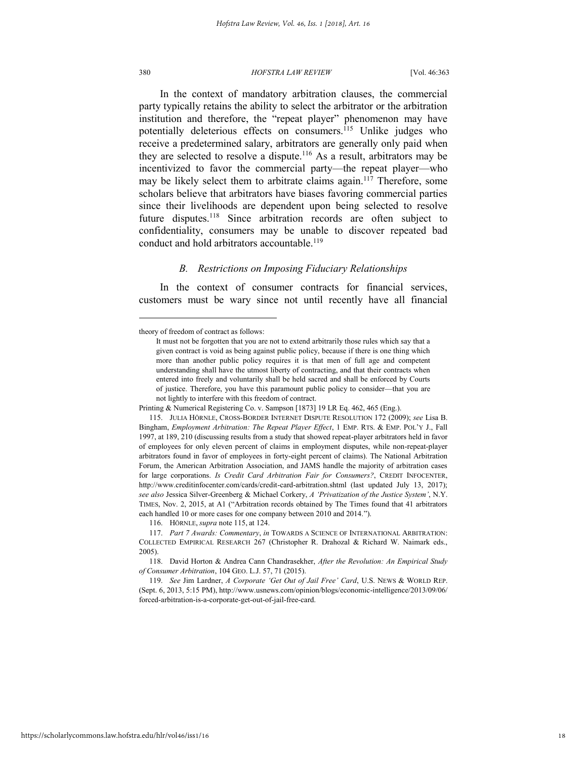#### 380 *HOFSTRA LAW REVIEW* [Vol. 46:363

In the context of mandatory arbitration clauses, the commercial party typically retains the ability to select the arbitrator or the arbitration institution and therefore, the "repeat player" phenomenon may have potentially deleterious effects on consumers.<sup>115</sup> Unlike judges who receive a predetermined salary, arbitrators are generally only paid when they are selected to resolve a dispute.<sup>116</sup> As a result, arbitrators may be incentivized to favor the commercial party—the repeat player—who may be likely select them to arbitrate claims again.<sup>117</sup> Therefore, some scholars believe that arbitrators have biases favoring commercial parties since their livelihoods are dependent upon being selected to resolve future disputes.<sup>118</sup> Since arbitration records are often subject to confidentiality, consumers may be unable to discover repeated bad conduct and hold arbitrators accountable.<sup>119</sup>

#### *B. Restrictions on Imposing Fiduciary Relationships*

In the context of consumer contracts for financial services, customers must be wary since not until recently have all financial

116. HÖRNLE, *supra* note 115, at 124.

theory of freedom of contract as follows:

It must not be forgotten that you are not to extend arbitrarily those rules which say that a given contract is void as being against public policy, because if there is one thing which more than another public policy requires it is that men of full age and competent understanding shall have the utmost liberty of contracting, and that their contracts when entered into freely and voluntarily shall be held sacred and shall be enforced by Courts of justice. Therefore, you have this paramount public policy to consider—that you are not lightly to interfere with this freedom of contract.

Printing & Numerical Registering Co. v. Sampson [1873] 19 LR Eq. 462, 465 (Eng.).

<sup>115.</sup> JULIA HÖRNLE, CROSS-BORDER INTERNET DISPUTE RESOLUTION 172 (2009); *see* Lisa B. Bingham, *Employment Arbitration: The Repeat Player Effect*, 1 EMP. RTS. & EMP. POL'Y J., Fall 1997, at 189, 210 (discussing results from a study that showed repeat-player arbitrators held in favor of employees for only eleven percent of claims in employment disputes, while non-repeat-player arbitrators found in favor of employees in forty-eight percent of claims). The National Arbitration Forum, the American Arbitration Association, and JAMS handle the majority of arbitration cases for large corporations. *Is Credit Card Arbitration Fair for Consumers?*, CREDIT INFOCENTER, http://www.creditinfocenter.com/cards/credit-card-arbitration.shtml (last updated July 13, 2017); *see also* Jessica Silver-Greenberg & Michael Corkery, *A 'Privatization of the Justice System'*, N.Y. TIMES, Nov. 2, 2015, at A1 ("Arbitration records obtained by The Times found that 41 arbitrators each handled 10 or more cases for one company between 2010 and 2014.").

<sup>117.</sup> *Part 7 Awards: Commentary*, *in* TOWARDS A SCIENCE OF INTERNATIONAL ARBITRATION: COLLECTED EMPIRICAL RESEARCH 267 (Christopher R. Drahozal & Richard W. Naimark eds., 2005).

<sup>118.</sup> David Horton & Andrea Cann Chandrasekher, *After the Revolution: An Empirical Study of Consumer Arbitration*, 104 GEO. L.J. 57, 71 (2015).

<sup>119.</sup> *See* Jim Lardner, *A Corporate 'Get Out of Jail Free' Card*, U.S. NEWS & WORLD REP. (Sept. 6, 2013, 5:15 PM), http://www.usnews.com/opinion/blogs/economic-intelligence/2013/09/06/ forced-arbitration-is-a-corporate-get-out-of-jail-free-card.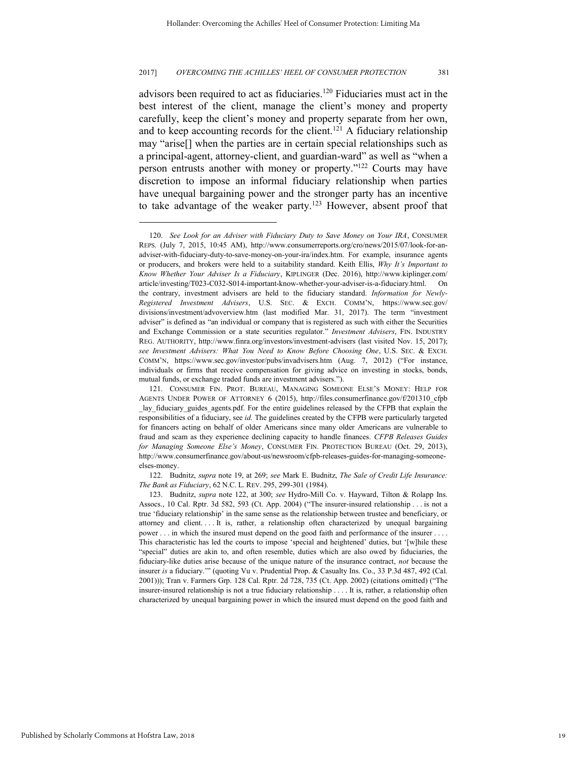advisors been required to act as fiduciaries.<sup>120</sup> Fiduciaries must act in the best interest of the client, manage the client's money and property carefully, keep the client's money and property separate from her own, and to keep accounting records for the client.<sup>121</sup> A fiduciary relationship may "arise[] when the parties are in certain special relationships such as a principal-agent, attorney-client, and guardian-ward" as well as "when a person entrusts another with money or property."<sup>122</sup> Courts may have discretion to impose an informal fiduciary relationship when parties have unequal bargaining power and the stronger party has an incentive to take advantage of the weaker party.<sup>123</sup> However, absent proof that

122. Budnitz, *supra* note 19, at 269; *see* Mark E. Budnitz, *The Sale of Credit Life Insurance: The Bank as Fiduciary*, 62 N.C. L. REV. 295, 299-301 (1984).

<sup>120.</sup> *See Look for an Adviser with Fiduciary Duty to Save Money on Your IRA*, CONSUMER REPS. (July 7, 2015, 10:45 AM), http://www.consumerreports.org/cro/news/2015/07/look-for-anadviser-with-fiduciary-duty-to-save-money-on-your-ira/index.htm. For example, insurance agents or producers, and brokers were held to a suitability standard. Keith Ellis, *Why It's Important to Know Whether Your Adviser Is a Fiduciary*, KIPLINGER (Dec. 2016), http://www.kiplinger.com/ article/investing/T023-C032-S014-important-know-whether-your-adviser-is-a-fiduciary.html. On the contrary, investment advisers are held to the fiduciary standard. *Information for Newly-Registered Investment Advisers*, U.S. SEC. & EXCH. COMM'N, https://www.sec.gov/ divisions/investment/advoverview.htm (last modified Mar. 31, 2017). The term "investment adviser" is defined as "an individual or company that is registered as such with either the Securities and Exchange Commission or a state securities regulator." *Investment Advisers*, FIN. INDUSTRY REG. AUTHORITY, http://www.finra.org/investors/investment-advisers (last visited Nov. 15, 2017); *see Investment Advisers: What You Need to Know Before Choosing One*, U.S. SEC. & EXCH. COMM'N, https://www.sec.gov/investor/pubs/invadvisers.htm (Aug. 7, 2012) ("For instance, individuals or firms that receive compensation for giving advice on investing in stocks, bonds, mutual funds, or exchange traded funds are investment advisers.").

<sup>121.</sup> CONSUMER FIN. PROT. BUREAU, MANAGING SOMEONE ELSE'S MONEY: HELP FOR AGENTS UNDER POWER OF ATTORNEY 6 (2015), http://files.consumerfinance.gov/f/201310\_cfpb lay fiduciary guides agents.pdf. For the entire guidelines released by the CFPB that explain the responsibilities of a fiduciary, see *id.* The guidelines created by the CFPB were particularly targeted for financers acting on behalf of older Americans since many older Americans are vulnerable to fraud and scam as they experience declining capacity to handle finances. *CFPB Releases Guides for Managing Someone Else's Money*, CONSUMER FIN. PROTECTION BUREAU (Oct. 29, 2013), http://www.consumerfinance.gov/about-us/newsroom/cfpb-releases-guides-for-managing-someoneelses-money.

<sup>123.</sup> Budnitz, *supra* note 122, at 300; *see* Hydro-Mill Co. v. Hayward, Tilton & Rolapp Ins. Assocs., 10 Cal. Rptr. 3d 582, 593 (Ct. App. 2004) ("The insurer-insured relationship . . . is not a true 'fiduciary relationship' in the same sense as the relationship between trustee and beneficiary, or attorney and client. . . . It is, rather, a relationship often characterized by unequal bargaining power . . . in which the insured must depend on the good faith and performance of the insurer . . . . This characteristic has led the courts to impose 'special and heightened' duties, but '[w]hile these "special" duties are akin to, and often resemble, duties which are also owed by fiduciaries, the fiduciary-like duties arise because of the unique nature of the insurance contract, *not* because the insurer *is* a fiduciary.'" (quoting Vu v. Prudential Prop. & Casualty Ins. Co., 33 P.3d 487, 492 (Cal. 2001))); Tran v. Farmers Grp. 128 Cal. Rptr. 2d 728, 735 (Ct. App. 2002) (citations omitted) ("The insurer-insured relationship is not a true fiduciary relationship . . . . It is, rather, a relationship often characterized by unequal bargaining power in which the insured must depend on the good faith and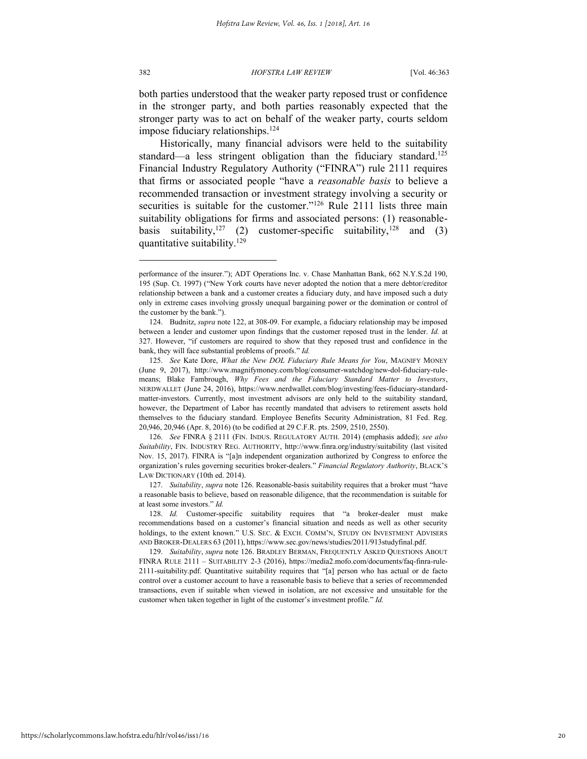both parties understood that the weaker party reposed trust or confidence in the stronger party, and both parties reasonably expected that the stronger party was to act on behalf of the weaker party, courts seldom impose fiduciary relationships.<sup>124</sup>

Historically, many financial advisors were held to the suitability standard—a less stringent obligation than the fiduciary standard.<sup>125</sup> Financial Industry Regulatory Authority ("FINRA") rule 2111 requires that firms or associated people "have a *reasonable basis* to believe a recommended transaction or investment strategy involving a security or securities is suitable for the customer."<sup>126</sup> Rule 2111 lists three main suitability obligations for firms and associated persons: (1) reasonablebasis suitability,<sup>127</sup> (2) customer-specific suitability,<sup>128</sup> and (3) quantitative suitability.<sup>129</sup>

126. *See* FINRA § 2111 (FIN. INDUS. REGULATORY AUTH. 2014) (emphasis added); *see also Suitability*, FIN. INDUSTRY REG. AUTHORITY, http://www.finra.org/industry/suitability (last visited Nov. 15, 2017). FINRA is "[a]n independent organization authorized by Congress to enforce the organization's rules governing securities broker-dealers." *Financial Regulatory Authority*, BLACK'S LAW DICTIONARY (10th ed. 2014).

127. *Suitability*, *supra* note 126. Reasonable-basis suitability requires that a broker must "have a reasonable basis to believe, based on reasonable diligence, that the recommendation is suitable for at least some investors." *Id.* 

128. *Id.* Customer-specific suitability requires that "a broker-dealer must make recommendations based on a customer's financial situation and needs as well as other security holdings, to the extent known." U.S. SEC. & EXCH. COMM'N, STUDY ON INVESTMENT ADVISERS AND BROKER-DEALERS 63 (2011), https://www.sec.gov/news/studies/2011/913studyfinal.pdf.

129. *Suitability*, *supra* note 126. BRADLEY BERMAN, FREQUENTLY ASKED QUESTIONS ABOUT FINRA RULE 2111 – SUITABILITY 2-3 (2016), https://media2.mofo.com/documents/faq-finra-rule-2111-suitability.pdf. Quantitative suitability requires that "[a] person who has actual or de facto control over a customer account to have a reasonable basis to believe that a series of recommended transactions, even if suitable when viewed in isolation, are not excessive and unsuitable for the customer when taken together in light of the customer's investment profile." *Id.*

performance of the insurer."); ADT Operations Inc. v. Chase Manhattan Bank, 662 N.Y.S.2d 190, 195 (Sup. Ct. 1997) ("New York courts have never adopted the notion that a mere debtor/creditor relationship between a bank and a customer creates a fiduciary duty, and have imposed such a duty only in extreme cases involving grossly unequal bargaining power or the domination or control of the customer by the bank.").

<sup>124.</sup> Budnitz, *supra* note 122, at 308-09. For example, a fiduciary relationship may be imposed between a lender and customer upon findings that the customer reposed trust in the lender. *Id.* at 327. However, "if customers are required to show that they reposed trust and confidence in the bank, they will face substantial problems of proofs." *Id.* 

<sup>125.</sup> *See* Kate Dore, *What the New DOL Fiduciary Rule Means for You*, MAGNIFY MONEY (June 9, 2017), http://www.magnifymoney.com/blog/consumer-watchdog/new-dol-fiduciary-rulemeans; Blake Fambrough, *Why Fees and the Fiduciary Standard Matter to Investors*, NERDWALLET (June 24, 2016), https://www.nerdwallet.com/blog/investing/fees-fiduciary-standardmatter-investors. Currently, most investment advisors are only held to the suitability standard, however, the Department of Labor has recently mandated that advisers to retirement assets hold themselves to the fiduciary standard. Employee Benefits Security Administration, 81 Fed. Reg. 20,946, 20,946 (Apr. 8, 2016) (to be codified at 29 C.F.R. pts. 2509, 2510, 2550).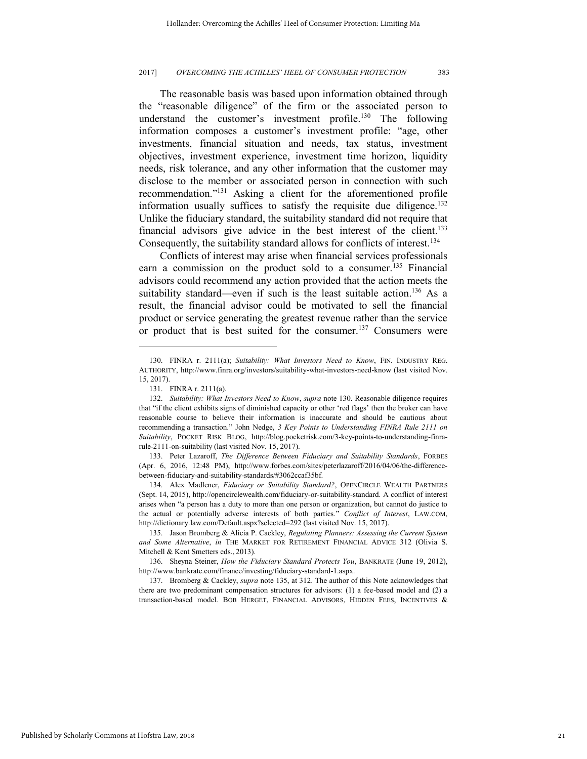The reasonable basis was based upon information obtained through the "reasonable diligence" of the firm or the associated person to understand the customer's investment profile.<sup>130</sup> The following information composes a customer's investment profile: "age, other investments, financial situation and needs, tax status, investment objectives, investment experience, investment time horizon, liquidity needs, risk tolerance, and any other information that the customer may disclose to the member or associated person in connection with such recommendation." <sup>131</sup> Asking a client for the aforementioned profile information usually suffices to satisfy the requisite due diligence.<sup>132</sup> Unlike the fiduciary standard, the suitability standard did not require that financial advisors give advice in the best interest of the client.<sup>133</sup> Consequently, the suitability standard allows for conflicts of interest.<sup>134</sup>

Conflicts of interest may arise when financial services professionals earn a commission on the product sold to a consumer.<sup>135</sup> Financial advisors could recommend any action provided that the action meets the suitability standard—even if such is the least suitable action.<sup>136</sup> As a result, the financial advisor could be motivated to sell the financial product or service generating the greatest revenue rather than the service or product that is best suited for the consumer.<sup>137</sup> Consumers were

l

133. Peter Lazaroff, *The Difference Between Fiduciary and Suitability Standards*, FORBES (Apr. 6, 2016, 12:48 PM), http://www.forbes.com/sites/peterlazaroff/2016/04/06/the-differencebetween-fiduciary-and-suitability-standards/#3062ccaf35bf.

134. Alex Madlener, *Fiduciary or Suitability Standard?*, OPENCIRCLE WEALTH PARTNERS (Sept. 14, 2015), http://opencirclewealth.com/fiduciary-or-suitability-standard. A conflict of interest arises when "a person has a duty to more than one person or organization, but cannot do justice to the actual or potentially adverse interests of both parties." *Conflict of Interest*, LAW.COM, http://dictionary.law.com/Default.aspx?selected=292 (last visited Nov. 15, 2017).

135. Jason Bromberg & Alicia P. Cackley, *Regulating Planners: Assessing the Current System and Some Alternative*, *in* THE MARKET FOR RETIREMENT FINANCIAL ADVICE 312 (Olivia S. Mitchell & Kent Smetters eds., 2013).

136. Sheyna Steiner, *How the Fiduciary Standard Protects You*, BANKRATE (June 19, 2012), http://www.bankrate.com/finance/investing/fiduciary-standard-1.aspx.

137. Bromberg & Cackley, *supra* note 135, at 312. The author of this Note acknowledges that there are two predominant compensation structures for advisors: (1) a fee-based model and (2) a transaction-based model. BOB HERGET, FINANCIAL ADVISORS, HIDDEN FEES, INCENTIVES &

<sup>130.</sup> FINRA r. 2111(a); *Suitability: What Investors Need to Know*, FIN. INDUSTRY REG. AUTHORITY, http://www.finra.org/investors/suitability-what-investors-need-know (last visited Nov. 15, 2017).

<sup>131.</sup> FINRA r. 2111(a).

<sup>132.</sup> *Suitability: What Investors Need to Know*, *supra* note 130. Reasonable diligence requires that "if the client exhibits signs of diminished capacity or other 'red flags' then the broker can have reasonable course to believe their information is inaccurate and should be cautious about recommending a transaction." John Nedge, *3 Key Points to Understanding FINRA Rule 2111 on Suitability*, POCKET RISK BLOG, http://blog.pocketrisk.com/3-key-points-to-understanding-finrarule-2111-on-suitability (last visited Nov. 15, 2017).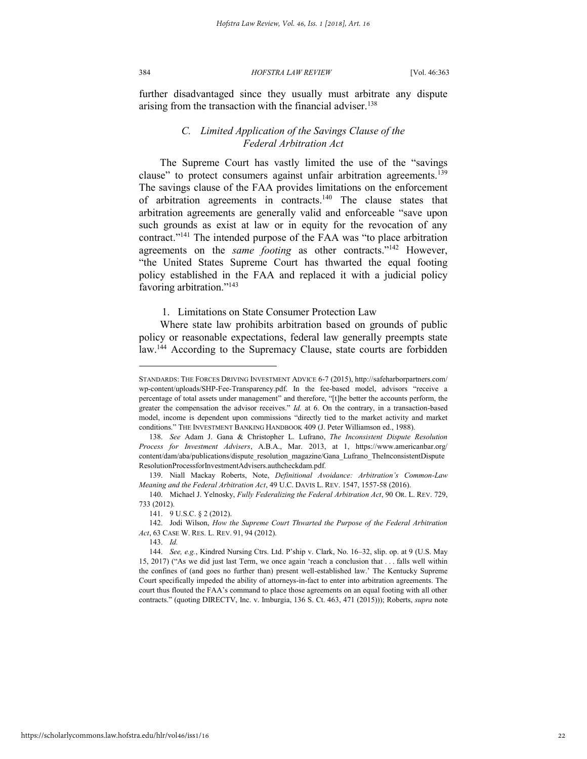further disadvantaged since they usually must arbitrate any dispute arising from the transaction with the financial adviser.<sup>138</sup>

## *C. Limited Application of the Savings Clause of the Federal Arbitration Act*

The Supreme Court has vastly limited the use of the "savings clause" to protect consumers against unfair arbitration agreements.<sup>139</sup> The savings clause of the FAA provides limitations on the enforcement of arbitration agreements in contracts.<sup>140</sup> The clause states that arbitration agreements are generally valid and enforceable "save upon such grounds as exist at law or in equity for the revocation of any contract."<sup>141</sup> The intended purpose of the FAA was "to place arbitration agreements on the *same footing* as other contracts."<sup>142</sup> However, "the United States Supreme Court has thwarted the equal footing policy established in the FAA and replaced it with a judicial policy favoring arbitration."<sup>143</sup>

#### 1. Limitations on State Consumer Protection Law

Where state law prohibits arbitration based on grounds of public policy or reasonable expectations, federal law generally preempts state law.<sup>144</sup> According to the Supremacy Clause, state courts are forbidden

STANDARDS: THE FORCES DRIVING INVESTMENT ADVICE 6-7 (2015), http://safeharborpartners.com/ wp-content/uploads/SHP-Fee-Transparency.pdf. In the fee-based model, advisors "receive a percentage of total assets under management" and therefore, "[t]he better the accounts perform, the greater the compensation the advisor receives." *Id.* at 6. On the contrary, in a transaction-based model, income is dependent upon commissions "directly tied to the market activity and market conditions." THE INVESTMENT BANKING HANDBOOK 409 (J. Peter Williamson ed., 1988).

<sup>138.</sup> *See* Adam J. Gana & Christopher L. Lufrano, *The Inconsistent Dispute Resolution Process for Investment Advisers*, A.B.A., Mar. 2013, at 1, https://www.americanbar.org/ content/dam/aba/publications/dispute\_resolution\_magazine/Gana\_Lufrano\_TheInconsistentDispute ResolutionProcessforInvestmentAdvisers.authcheckdam.pdf*.*

<sup>139.</sup> Niall Mackay Roberts, Note, *Definitional Avoidance: Arbitration's Common-Law Meaning and the Federal Arbitration Act*, 49 U.C. DAVIS L. REV. 1547, 1557-58 (2016).

<sup>140.</sup> Michael J. Yelnosky, *Fully Federalizing the Federal Arbitration Act*, 90 OR. L. REV. 729, 733 (2012).

<sup>141. 9</sup> U.S.C. § 2 (2012).

<sup>142.</sup> Jodi Wilson, *How the Supreme Court Thwarted the Purpose of the Federal Arbitration Act*, 63 CASE W. RES. L. REV. 91, 94 (2012).

<sup>143.</sup> *Id.*

<sup>144.</sup> *See, e.g.*, Kindred Nursing Ctrs. Ltd. P'ship v. Clark, No. 16–32, slip. op. at 9 (U.S. May 15, 2017) ("As we did just last Term, we once again 'reach a conclusion that . . . falls well within the confines of (and goes no further than) present well-established law.' The Kentucky Supreme Court specifically impeded the ability of attorneys-in-fact to enter into arbitration agreements. The court thus flouted the FAA's command to place those agreements on an equal footing with all other contracts." (quoting DIRECTV, Inc. v. Imburgia, 136 S. Ct. 463, 471 (2015))); Roberts, *supra* note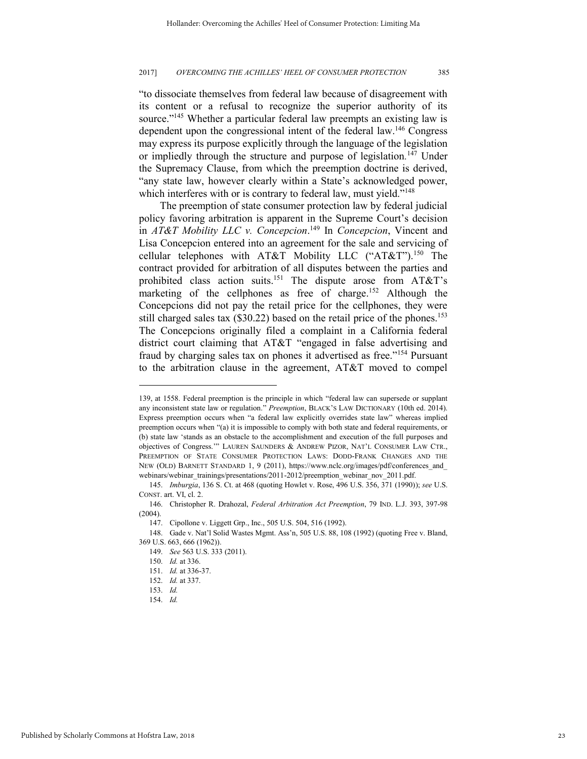"to dissociate themselves from federal law because of disagreement with its content or a refusal to recognize the superior authority of its source."<sup>145</sup> Whether a particular federal law preempts an existing law is dependent upon the congressional intent of the federal law.<sup>146</sup> Congress may express its purpose explicitly through the language of the legislation or impliedly through the structure and purpose of legislation*.* <sup>147</sup> Under the Supremacy Clause, from which the preemption doctrine is derived, "any state law, however clearly within a State's acknowledged power, which interferes with or is contrary to federal law, must yield."<sup>148</sup>

The preemption of state consumer protection law by federal judicial policy favoring arbitration is apparent in the Supreme Court's decision in *AT&T Mobility LLC v. Concepcion*. <sup>149</sup> In *Concepcion*, Vincent and Lisa Concepcion entered into an agreement for the sale and servicing of cellular telephones with AT&T Mobility LLC ("AT&T").<sup>150</sup> The contract provided for arbitration of all disputes between the parties and prohibited class action suits.<sup>151</sup> The dispute arose from AT&T's marketing of the cellphones as free of charge.<sup>152</sup> Although the Concepcions did not pay the retail price for the cellphones, they were still charged sales tax  $(\$30.22)$  based on the retail price of the phones.<sup>153</sup> The Concepcions originally filed a complaint in a California federal district court claiming that AT&T "engaged in false advertising and fraud by charging sales tax on phones it advertised as free."<sup>154</sup> Pursuant to the arbitration clause in the agreement, AT&T moved to compel

<sup>139,</sup> at 1558. Federal preemption is the principle in which "federal law can supersede or supplant any inconsistent state law or regulation." *Preemption*, BLACK'S LAW DICTIONARY (10th ed. 2014). Express preemption occurs when "a federal law explicitly overrides state law" whereas implied preemption occurs when "(a) it is impossible to comply with both state and federal requirements, or (b) state law 'stands as an obstacle to the accomplishment and execution of the full purposes and objectives of Congress.'" LAUREN SAUNDERS & ANDREW PIZOR, NAT'L CONSUMER LAW CTR., PREEMPTION OF STATE CONSUMER PROTECTION LAWS: DODD-FRANK CHANGES AND THE NEW (OLD) BARNETT STANDARD 1, 9 (2011), https://www.nclc.org/images/pdf/conferences\_and\_ webinars/webinar\_trainings/presentations/2011-2012/preemption\_webinar\_nov\_2011.pdf.

<sup>145.</sup> *Imburgia*, 136 S. Ct. at 468 (quoting Howlet v. Rose, 496 U.S. 356, 371 (1990)); *see* U.S. CONST. art. VI, cl. 2.

<sup>146.</sup> Christopher R. Drahozal, *Federal Arbitration Act Preemption*, 79 IND. L.J. 393, 397-98  $(2004)$ .

<sup>147.</sup> Cipollone v. Liggett Grp., Inc., 505 U.S. 504, 516 (1992).

<sup>148.</sup> Gade v. Nat'l Solid Wastes Mgmt. Ass'n, 505 U.S. 88, 108 (1992) (quoting Free v. Bland, 369 U.S. 663, 666 (1962)).

<sup>149.</sup> *See* 563 U.S. 333 (2011).

<sup>150.</sup> *Id.* at 336.

<sup>151.</sup> *Id.* at 336-37.

<sup>152.</sup> *Id.* at 337.

<sup>153.</sup> *Id.*

<sup>154.</sup> *Id.*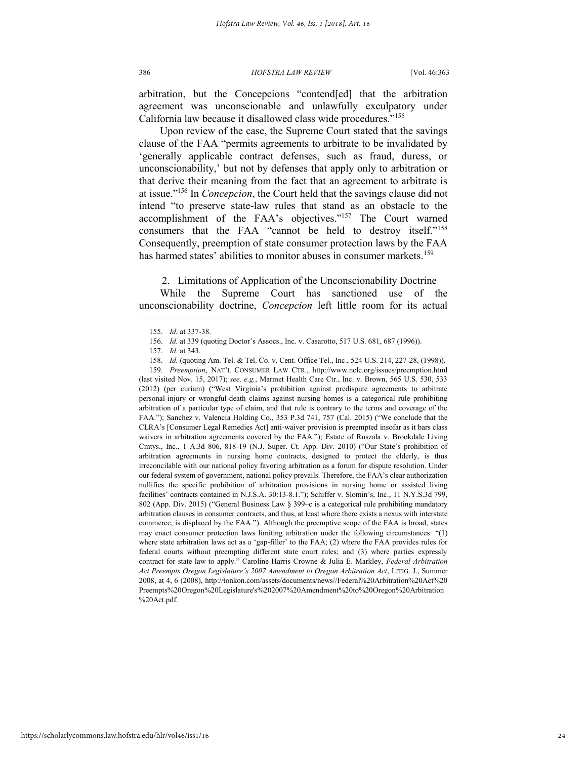arbitration, but the Concepcions "contend[ed] that the arbitration agreement was unconscionable and unlawfully exculpatory under California law because it disallowed class wide procedures."<sup>155</sup>

Upon review of the case, the Supreme Court stated that the savings clause of the FAA "permits agreements to arbitrate to be invalidated by 'generally applicable contract defenses, such as fraud, duress, or unconscionability,' but not by defenses that apply only to arbitration or that derive their meaning from the fact that an agreement to arbitrate is at issue."<sup>156</sup> In *Concepcion*, the Court held that the savings clause did not intend "to preserve state-law rules that stand as an obstacle to the accomplishment of the FAA's objectives."<sup>157</sup> The Court warned consumers that the FAA "cannot be held to destroy itself."<sup>158</sup> Consequently, preemption of state consumer protection laws by the FAA has harmed states' abilities to monitor abuses in consumer markets.<sup>159</sup>

2. Limitations of Application of the Unconscionability Doctrine

While the Supreme Court has sanctioned use of the unconscionability doctrine, *Concepcion* left little room for its actual

<sup>155.</sup> *Id.* at 337-38.

<sup>156.</sup> *Id.* at 339 (quoting Doctor's Assocs., Inc. v. Casarotto, 517 U.S. 681, 687 (1996)).

<sup>157.</sup> *Id.* at 343.

<sup>158.</sup> *Id.* (quoting Am. Tel. & Tel. Co. v. Cent. Office Tel., Inc., 524 U.S. 214, 227-28, (1998)).

<sup>159.</sup> *Preemption*, NAT'L CONSUMER LAW CTR., http://www.nclc.org/issues/preemption.html (last visited Nov. 15, 2017); *see, e.g.*, Marmet Health Care Ctr., Inc. v. Brown, 565 U.S. 530, 533 (2012) (per curiam) ("West Virginia's prohibition against predispute agreements to arbitrate personal-injury or wrongful-death claims against nursing homes is a categorical rule prohibiting arbitration of a particular type of claim, and that rule is contrary to the terms and coverage of the FAA."); Sanchez v. Valencia Holding Co., 353 P.3d 741, 757 (Cal. 2015) ("We conclude that the CLRA's [Consumer Legal Remedies Act] anti-waiver provision is preempted insofar as it bars class waivers in arbitration agreements covered by the FAA."); Estate of Ruszala v. Brookdale Living Cmtys., Inc., 1 A.3d 806, 818-19 (N.J. Super. Ct. App. Div. 2010) ("Our State's prohibition of arbitration agreements in nursing home contracts, designed to protect the elderly, is thus irreconcilable with our national policy favoring arbitration as a forum for dispute resolution. Under our federal system of government, national policy prevails. Therefore, the FAA's clear authorization nullifies the specific prohibition of arbitration provisions in nursing home or assisted living facilities' contracts contained in N.J.S.A. 30:13-8.1."); Schiffer v. Slomin's, Inc., 11 N.Y.S.3d 799, 802 (App. Div. 2015) ("General Business Law § 399–c is a categorical rule prohibiting mandatory arbitration clauses in consumer contracts, and thus, at least where there exists a nexus with interstate commerce, is displaced by the FAA."). Although the preemptive scope of the FAA is broad, states may enact consumer protection laws limiting arbitration under the following circumstances: "(1) where state arbitration laws act as a 'gap-filler' to the FAA; (2) where the FAA provides rules for federal courts without preempting different state court rules; and (3) where parties expressly contract for state law to apply." Caroline Harris Crowne & Julia E. Markley, *Federal Arbitration Act Preempts Oregon Legislature's 2007 Amendment to Oregon Arbitration Act*, LITIG. J., Summer 2008, at 4, 6 (2008), http://tonkon.com/assets/documents/news//Federal%20Arbitration%20Act%20 Preempts%20Oregon%20Legislature's%202007%20Amendment%20to%20Oregon%20Arbitration %20Act.pdf.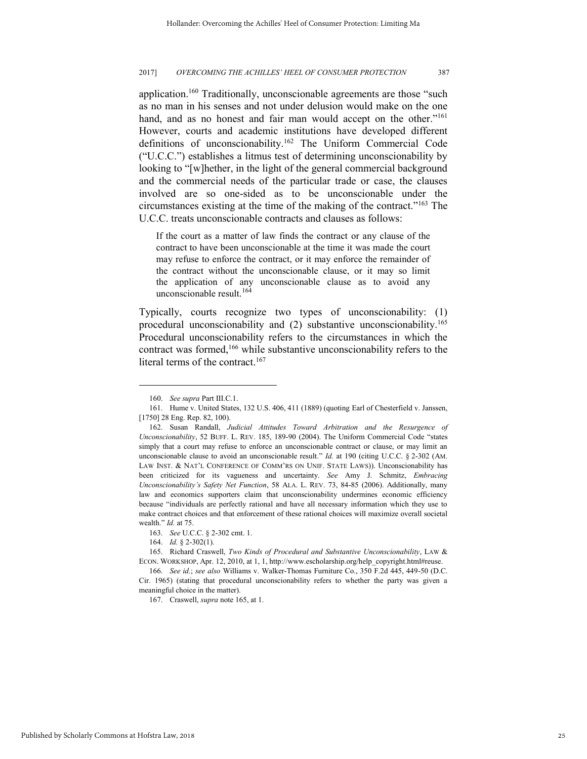application.<sup>160</sup> Traditionally, unconscionable agreements are those "such as no man in his senses and not under delusion would make on the one hand, and as no honest and fair man would accept on the other."<sup>161</sup> However, courts and academic institutions have developed different definitions of unconscionability.<sup>162</sup> The Uniform Commercial Code ("U.C.C.") establishes a litmus test of determining unconscionability by looking to "[w]hether, in the light of the general commercial background and the commercial needs of the particular trade or case, the clauses involved are so one-sided as to be unconscionable under the circumstances existing at the time of the making of the contract."<sup>163</sup> The U.C.C. treats unconscionable contracts and clauses as follows:

If the court as a matter of law finds the contract or any clause of the contract to have been unconscionable at the time it was made the court may refuse to enforce the contract, or it may enforce the remainder of the contract without the unconscionable clause, or it may so limit the application of any unconscionable clause as to avoid any unconscionable result.<sup>164</sup>

Typically, courts recognize two types of unconscionability: (1) procedural unconscionability and (2) substantive unconscionability.<sup>165</sup> Procedural unconscionability refers to the circumstances in which the contract was formed,<sup>166</sup> while substantive unconscionability refers to the literal terms of the contract.<sup>167</sup>

<sup>160.</sup> *See supra* Part III.C.1.

<sup>161.</sup> Hume v. United States, 132 U.S. 406, 411 (1889) (quoting Earl of Chesterfield v. Janssen, [1750] 28 Eng. Rep. 82, 100).

<sup>162.</sup> Susan Randall, *Judicial Attitudes Toward Arbitration and the Resurgence of Unconscionability*, 52 BUFF. L. REV. 185, 189-90 (2004). The Uniform Commercial Code "states simply that a court may refuse to enforce an unconscionable contract or clause, or may limit an unconscionable clause to avoid an unconscionable result." *Id.* at 190 (citing U.C.C. § 2-302 (AM. LAW INST. & NAT'L CONFERENCE OF COMM'RS ON UNIF. STATE LAWS)). Unconscionability has been criticized for its vagueness and uncertainty. *See* Amy J. Schmitz, *Embracing Unconscionability's Safety Net Function*, 58 ALA. L. REV. 73, 84-85 (2006). Additionally, many law and economics supporters claim that unconscionability undermines economic efficiency because "individuals are perfectly rational and have all necessary information which they use to make contract choices and that enforcement of these rational choices will maximize overall societal wealth." *Id.* at 75.

<sup>163.</sup> *See* U.C.C. § 2-302 cmt. 1.

<sup>164.</sup> *Id.* § 2-302(1).

<sup>165.</sup> Richard Craswell, *Two Kinds of Procedural and Substantive Unconscionability*, LAW & ECON. WORKSHOP, Apr. 12, 2010, at 1, 1, http://www.escholarship.org/help\_copyright.html#reuse.

<sup>166.</sup> *See id.*; *see also* Williams v. Walker-Thomas Furniture Co., 350 F.2d 445, 449-50 (D.C. Cir. 1965) (stating that procedural unconscionability refers to whether the party was given a meaningful choice in the matter).

<sup>167.</sup> Craswell, *supra* note 165, at 1.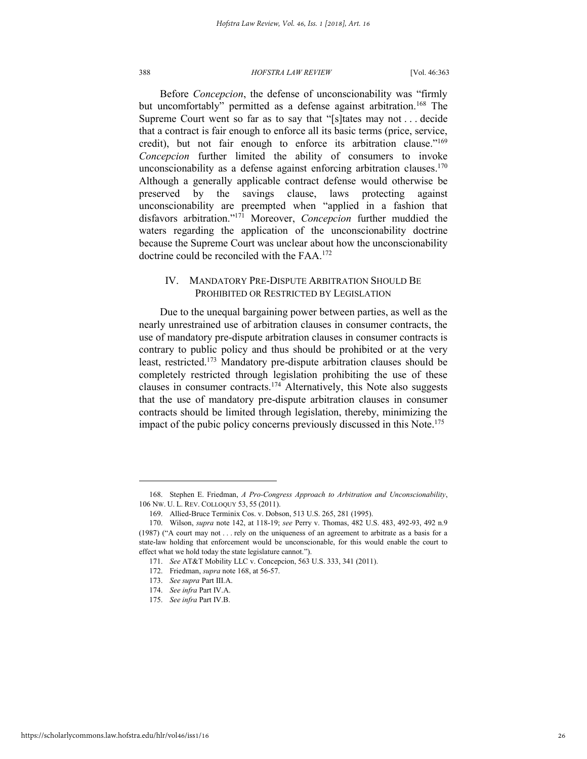Before *Concepcion*, the defense of unconscionability was "firmly but uncomfortably" permitted as a defense against arbitration.<sup>168</sup> The Supreme Court went so far as to say that "[s]tates may not . . . decide that a contract is fair enough to enforce all its basic terms (price, service, credit), but not fair enough to enforce its arbitration clause."<sup>169</sup> *Concepcion* further limited the ability of consumers to invoke unconscionability as a defense against enforcing arbitration clauses.<sup>170</sup> Although a generally applicable contract defense would otherwise be preserved by the savings clause, laws protecting against unconscionability are preempted when "applied in a fashion that disfavors arbitration." <sup>171</sup> Moreover, *Concepcion* further muddied the waters regarding the application of the unconscionability doctrine because the Supreme Court was unclear about how the unconscionability doctrine could be reconciled with the FAA.<sup>172</sup>

## IV. MANDATORY PRE-DISPUTE ARBITRATION SHOULD BE PROHIBITED OR RESTRICTED BY LEGISLATION

Due to the unequal bargaining power between parties, as well as the nearly unrestrained use of arbitration clauses in consumer contracts, the use of mandatory pre-dispute arbitration clauses in consumer contracts is contrary to public policy and thus should be prohibited or at the very least, restricted.<sup>173</sup> Mandatory pre-dispute arbitration clauses should be completely restricted through legislation prohibiting the use of these clauses in consumer contracts.<sup>174</sup> Alternatively, this Note also suggests that the use of mandatory pre-dispute arbitration clauses in consumer contracts should be limited through legislation, thereby, minimizing the impact of the pubic policy concerns previously discussed in this Note.<sup>175</sup>

<sup>168.</sup> Stephen E. Friedman, *A Pro-Congress Approach to Arbitration and Unconscionability*, 106 NW. U. L. REV. COLLOQUY 53, 55 (2011).

<sup>169.</sup> Allied-Bruce Terminix Cos. v. Dobson, 513 U.S. 265, 281 (1995).

<sup>170.</sup> Wilson, *supra* note 142, at 118-19; *see* Perry v. Thomas, 482 U.S. 483, 492-93, 492 n.9 (1987) ("A court may not . . . rely on the uniqueness of an agreement to arbitrate as a basis for a state-law holding that enforcement would be unconscionable, for this would enable the court to effect what we hold today the state legislature cannot.").

<sup>171.</sup> *See* AT&T Mobility LLC v. Concepcion, 563 U.S. 333, 341 (2011).

<sup>172.</sup> Friedman, *supra* note 168, at 56-57.

<sup>173.</sup> *See supra* Part III.A.

<sup>174.</sup> *See infra* Part IV.A.

<sup>175.</sup> *See infra* Part IV.B.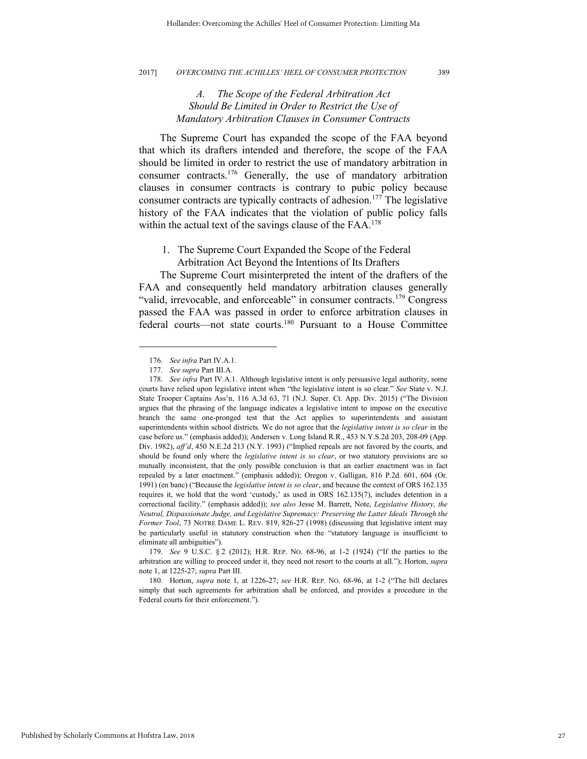## *A. The Scope of the Federal Arbitration Act Should Be Limited in Order to Restrict the Use of Mandatory Arbitration Clauses in Consumer Contracts*

The Supreme Court has expanded the scope of the FAA beyond that which its drafters intended and therefore, the scope of the FAA should be limited in order to restrict the use of mandatory arbitration in consumer contracts.<sup>176</sup> Generally, the use of mandatory arbitration clauses in consumer contracts is contrary to pubic policy because consumer contracts are typically contracts of adhesion.<sup>177</sup> The legislative history of the FAA indicates that the violation of public policy falls within the actual text of the savings clause of the FAA.<sup>178</sup>

1. The Supreme Court Expanded the Scope of the Federal Arbitration Act Beyond the Intentions of Its Drafters

The Supreme Court misinterpreted the intent of the drafters of the FAA and consequently held mandatory arbitration clauses generally "valid, irrevocable, and enforceable" in consumer contracts.<sup>179</sup> Congress passed the FAA was passed in order to enforce arbitration clauses in federal courts—not state courts.<sup>180</sup> Pursuant to a House Committee

<sup>176.</sup> *See infra* Part IV.A.1.

<sup>177.</sup> *See supra* Part III.A.

<sup>178.</sup> *See infra* Part IV.A.1. Although legislative intent is only persuasive legal authority, some courts have relied upon legislative intent when "the legislative intent is so clear." *See* State v. N.J. State Trooper Captains Ass'n, 116 A.3d 63, 71 (N.J. Super. Ct. App. Div. 2015) ("The Division argues that the phrasing of the language indicates a legislative intent to impose on the executive branch the same one-pronged test that the Act applies to superintendents and assistant superintendents within school districts. We do not agree that the *legislative intent is so clear* in the case before us." (emphasis added)); Andersen v. Long Island R.R., 453 N.Y.S.2d 203, 208-09 (App. Div. 1982), *aff'd*, 450 N.E.2d 213 (N.Y. 1993) ("Implied repeals are not favored by the courts, and should be found only where the *legislative intent is so clear*, or two statutory provisions are so mutually inconsistent, that the only possible conclusion is that an earlier enactment was in fact repealed by a later enactment." (emphasis added)); Oregon v. Galligan, 816 P.2d. 601, 604 (Or. 1991) (en banc) ("Because the *legislative intent is so clear*, and because the context of ORS 162.135 requires it, we hold that the word 'custody,' as used in ORS 162.135(7), includes detention in a correctional facility." (emphasis added)); *see also* Jesse M. Barrett, Note, *Legislative History, the Neutral, Dispassionate Judge, and Legislative Supremacy: Preserving the Latter Ideals Through the Former Tool*, 73 NOTRE DAME L. REV. 819, 826-27 (1998) (discussing that legislative intent may be particularly useful in statutory construction when the "statutory language is insufficient to eliminate all ambiguities").

<sup>179.</sup> *See* 9 U.S.C. § 2 (2012); H.R. REP. NO. 68-96, at 1-2 (1924) ("If the parties to the arbitration are willing to proceed under it, they need not resort to the courts at all."); Horton, *supra*  note 1, at 1225-27; *supra* Part III.

<sup>180.</sup> Horton, *supra* note 1, at 1226-27; *see* H.R. REP. NO. 68-96, at 1-2 ("The bill declares simply that such agreements for arbitration shall be enforced, and provides a procedure in the Federal courts for their enforcement.").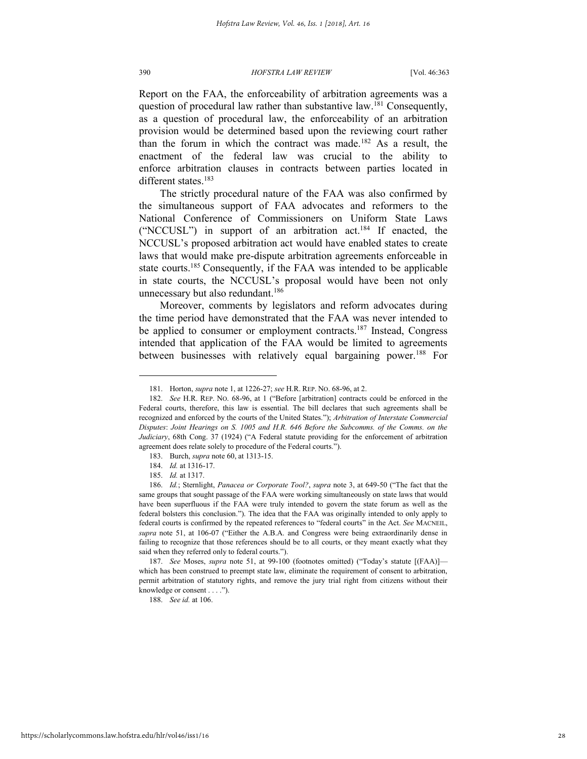Report on the FAA, the enforceability of arbitration agreements was a question of procedural law rather than substantive law.<sup>181</sup> Consequently, as a question of procedural law, the enforceability of an arbitration provision would be determined based upon the reviewing court rather than the forum in which the contract was made.<sup>182</sup> As a result, the enactment of the federal law was crucial to the ability to enforce arbitration clauses in contracts between parties located in different states.<sup>183</sup>

The strictly procedural nature of the FAA was also confirmed by the simultaneous support of FAA advocates and reformers to the National Conference of Commissioners on Uniform State Laws ("NCCUSL") in support of an arbitration act.<sup>184</sup> If enacted, the NCCUSL's proposed arbitration act would have enabled states to create laws that would make pre-dispute arbitration agreements enforceable in state courts.<sup>185</sup> Consequently, if the FAA was intended to be applicable in state courts, the NCCUSL's proposal would have been not only unnecessary but also redundant.<sup>186</sup>

Moreover, comments by legislators and reform advocates during the time period have demonstrated that the FAA was never intended to be applied to consumer or employment contracts.<sup>187</sup> Instead, Congress intended that application of the FAA would be limited to agreements between businesses with relatively equal bargaining power.<sup>188</sup> For

l

187. *See* Moses, *supra* note 51, at 99-100 (footnotes omitted) ("Today's statute [(FAA)] which has been construed to preempt state law, eliminate the requirement of consent to arbitration, permit arbitration of statutory rights, and remove the jury trial right from citizens without their knowledge or consent . . . .").

188. *See id.* at 106.

<sup>181.</sup> Horton, *supra* note 1, at 1226-27; *see* H.R. REP. NO. 68-96, at 2.

<sup>182.</sup> *See* H.R. REP. NO. 68-96, at 1 ("Before [arbitration] contracts could be enforced in the Federal courts, therefore, this law is essential. The bill declares that such agreements shall be recognized and enforced by the courts of the United States."); *Arbitration of Interstate Commercial Disputes*: *Joint Hearings on S. 1005 and H.R. 646 Before the Subcomms. of the Comms. on the Judiciary*, 68th Cong. 37 (1924) ("A Federal statute providing for the enforcement of arbitration agreement does relate solely to procedure of the Federal courts.").

<sup>183.</sup> Burch, *supra* note 60, at 1313-15.

<sup>184.</sup> *Id.* at 1316-17.

<sup>185.</sup> *Id.* at 1317.

<sup>186.</sup> *Id.*; Sternlight, *Panacea or Corporate Tool?*, *supra* note 3, at 649-50 ("The fact that the same groups that sought passage of the FAA were working simultaneously on state laws that would have been superfluous if the FAA were truly intended to govern the state forum as well as the federal bolsters this conclusion."). The idea that the FAA was originally intended to only apply to federal courts is confirmed by the repeated references to "federal courts" in the Act. *See* MACNEIL, *supra* note 51, at 106-07 ("Either the A.B.A. and Congress were being extraordinarily dense in failing to recognize that those references should be to all courts, or they meant exactly what they said when they referred only to federal courts.").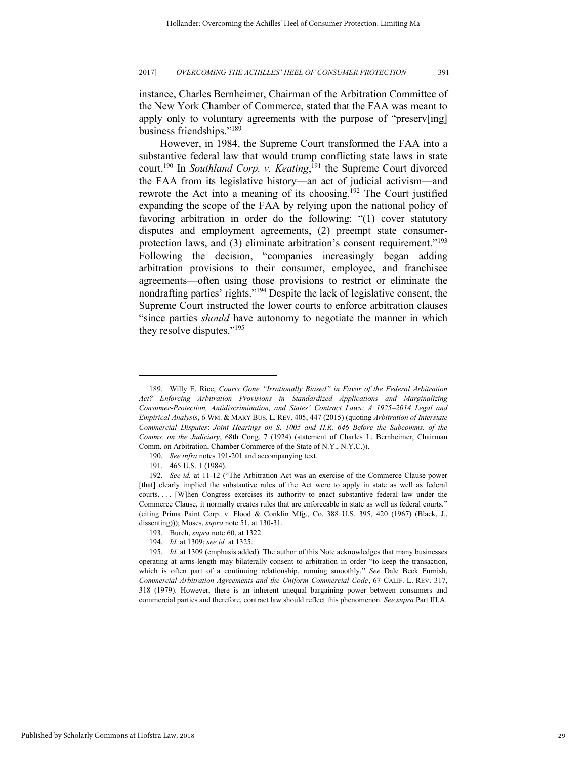instance, Charles Bernheimer, Chairman of the Arbitration Committee of the New York Chamber of Commerce, stated that the FAA was meant to apply only to voluntary agreements with the purpose of "preserv[ing] business friendships."<sup>189</sup>

However, in 1984, the Supreme Court transformed the FAA into a substantive federal law that would trump conflicting state laws in state court.<sup>190</sup> In *Southland Corp. v. Keating*,<sup>191</sup> the Supreme Court divorced the FAA from its legislative history—an act of judicial activism—and rewrote the Act into a meaning of its choosing.<sup>192</sup> The Court justified expanding the scope of the FAA by relying upon the national policy of favoring arbitration in order do the following: "(1) cover statutory disputes and employment agreements, (2) preempt state consumerprotection laws, and (3) eliminate arbitration's consent requirement."<sup>193</sup> Following the decision, "companies increasingly began adding arbitration provisions to their consumer, employee, and franchisee agreements—often using those provisions to restrict or eliminate the nondrafting parties' rights."<sup>194</sup> Despite the lack of legislative consent, the Supreme Court instructed the lower courts to enforce arbitration clauses "since parties *should* have autonomy to negotiate the manner in which they resolve disputes."<sup>195</sup>

<sup>189.</sup> Willy E. Rice, *Courts Gone "Irrationally Biased" in Favor of the Federal Arbitration Act?—Enforcing Arbitration Provisions in Standardized Applications and Marginalizing Consumer-Protection, Antidiscrimination, and States' Contract Laws: A 1925–2014 Legal and Empirical Analysis*, 6 WM. & MARY BUS. L. REV. 405, 447 (2015) (quoting *Arbitration of Interstate Commercial Disputes*: *Joint Hearings on S. 1005 and H.R. 646 Before the Subcomms. of the Comms. on the Judiciary*, 68th Cong. 7 (1924) (statement of Charles L. Bernheimer, Chairman Comm. on Arbitration, Chamber Commerce of the State of N.Y., N.Y.C.)).

<sup>190.</sup> *See infra* notes 191-201 and accompanying text.

<sup>191. 465</sup> U.S. 1 (1984).

<sup>192.</sup> *See id.* at 11-12 ("The Arbitration Act was an exercise of the Commerce Clause power [that] clearly implied the substantive rules of the Act were to apply in state as well as federal courts.... [W]hen Congress exercises its authority to enact substantive federal law under the Commerce Clause, it normally creates rules that are enforceable in state as well as federal courts." (citing Prima Paint Corp. v. Flood & Conklin Mfg., Co. 388 U.S. 395, 420 (1967) (Black, J., dissenting))); Moses, *supra* note 51, at 130-31.

<sup>193.</sup> Burch, *supra* note 60, at 1322.

<sup>194.</sup> *Id.* at 1309; *see id.* at 1325.

<sup>195.</sup> *Id.* at 1309 (emphasis added). The author of this Note acknowledges that many businesses operating at arms-length may bilaterally consent to arbitration in order "to keep the transaction, which is often part of a continuing relationship, running smoothly." *See* Dale Beck Furnish, *Commercial Arbitration Agreements and the Uniform Commercial Code*, 67 CALIF. L. REV. 317, 318 (1979). However, there is an inherent unequal bargaining power between consumers and commercial parties and therefore, contract law should reflect this phenomenon. *See supra* Part III.A.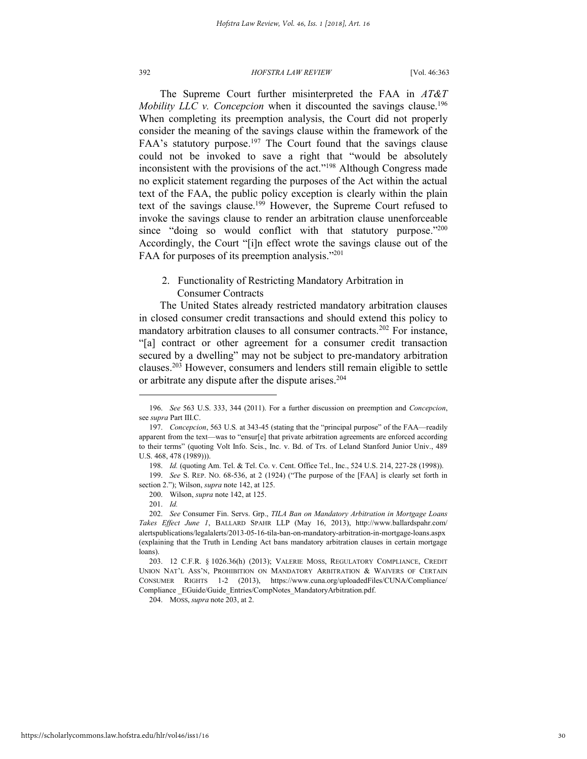The Supreme Court further misinterpreted the FAA in *AT&T Mobility LLC v. Concepcion* when it discounted the savings clause.<sup>196</sup> When completing its preemption analysis, the Court did not properly consider the meaning of the savings clause within the framework of the FAA's statutory purpose.<sup>197</sup> The Court found that the savings clause could not be invoked to save a right that "would be absolutely inconsistent with the provisions of the act."<sup>198</sup> Although Congress made no explicit statement regarding the purposes of the Act within the actual text of the FAA, the public policy exception is clearly within the plain text of the savings clause.<sup>199</sup> However, the Supreme Court refused to invoke the savings clause to render an arbitration clause unenforceable since "doing so would conflict with that statutory purpose."200 Accordingly, the Court "[i]n effect wrote the savings clause out of the FAA for purposes of its preemption analysis."201

## 2. Functionality of Restricting Mandatory Arbitration in Consumer Contracts

The United States already restricted mandatory arbitration clauses in closed consumer credit transactions and should extend this policy to mandatory arbitration clauses to all consumer contracts.<sup>202</sup> For instance, "[a] contract or other agreement for a consumer credit transaction secured by a dwelling" may not be subject to pre-mandatory arbitration clauses.<sup>203</sup> However, consumers and lenders still remain eligible to settle or arbitrate any dispute after the dispute arises.<sup>204</sup>

l

204. MOSS, *supra* note 203, at 2.

<sup>196.</sup> *See* 563 U.S. 333, 344 (2011). For a further discussion on preemption and *Concepcion*, see *supra* Part III.C.

<sup>197.</sup> *Concepcion*, 563 U.S*.* at 343-45 (stating that the "principal purpose" of the FAA—readily apparent from the text—was to "ensur[e] that private arbitration agreements are enforced according to their terms" (quoting Volt Info. Scis., Inc. v. Bd. of Trs. of Leland Stanford Junior Univ., 489 U.S. 468, 478 (1989))).

<sup>198.</sup> *Id.* (quoting Am. Tel. & Tel. Co. v. Cent. Office Tel., Inc., 524 U.S. 214, 227-28 (1998)).

<sup>199.</sup> *See* S. REP. NO. 68-536, at 2 (1924) ("The purpose of the [FAA] is clearly set forth in section 2."); Wilson, *supra* note 142, at 125.

<sup>200.</sup> Wilson, *supra* note 142, at 125.

<sup>201.</sup> *Id.*

<sup>202.</sup> *See* Consumer Fin. Servs. Grp., *TILA Ban on Mandatory Arbitration in Mortgage Loans Takes Effect June 1*, BALLARD SPAHR LLP (May 16, 2013), http://www.ballardspahr.com/ alertspublications/legalalerts/2013-05-16-tila-ban-on-mandatory-arbitration-in-mortgage-loans.aspx (explaining that the Truth in Lending Act bans mandatory arbitration clauses in certain mortgage loans).

<sup>203. 12</sup> C.F.R. § 1026.36(h) (2013); VALERIE MOSS, REGULATORY COMPLIANCE, CREDIT UNION NAT'L ASS'N, PROHIBITION ON MANDATORY ARBITRATION & WAIVERS OF CERTAIN CONSUMER RIGHTS 1-2 (2013), https://www.cuna.org/uploadedFiles/CUNA/Compliance/ Compliance \_EGuide/Guide\_Entries/CompNotes\_MandatoryArbitration.pdf.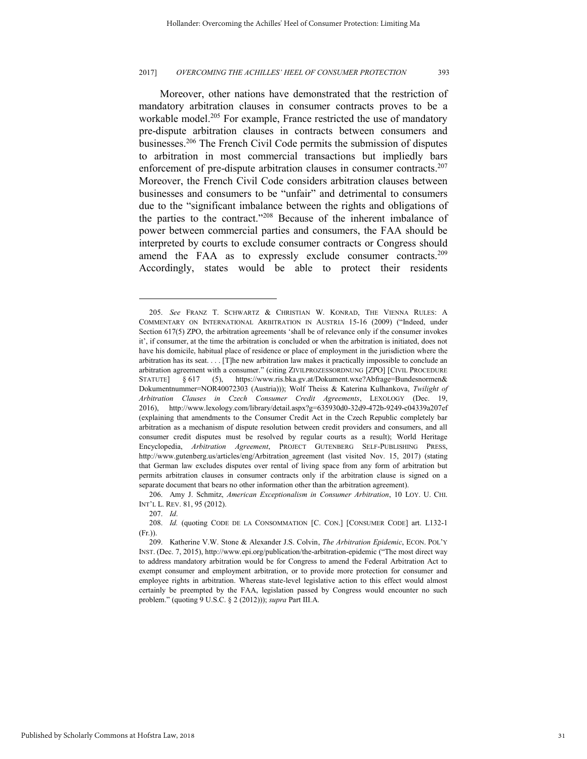Moreover, other nations have demonstrated that the restriction of mandatory arbitration clauses in consumer contracts proves to be a workable model.<sup>205</sup> For example, France restricted the use of mandatory pre-dispute arbitration clauses in contracts between consumers and businesses.<sup>206</sup> The French Civil Code permits the submission of disputes to arbitration in most commercial transactions but impliedly bars enforcement of pre-dispute arbitration clauses in consumer contracts.<sup>207</sup> Moreover, the French Civil Code considers arbitration clauses between businesses and consumers to be "unfair" and detrimental to consumers due to the "significant imbalance between the rights and obligations of the parties to the contract."<sup>208</sup> Because of the inherent imbalance of power between commercial parties and consumers, the FAA should be interpreted by courts to exclude consumer contracts or Congress should amend the FAA as to expressly exclude consumer contracts.<sup>209</sup> Accordingly, states would be able to protect their residents

206. Amy J. Schmitz, *American Exceptionalism in Consumer Arbitration*, 10 LOY. U. CHI. INT'L L. REV. 81, 95 (2012).

207. *Id*.

l

208. *Id.* (quoting CODE DE LA CONSOMMATION [C. CON.] [CONSUMER CODE] art. L132-1 (Fr.)).

<sup>205.</sup> *See* FRANZ T. SCHWARTZ & CHRISTIAN W. KONRAD, THE VIENNA RULES: A COMMENTARY ON INTERNATIONAL ARBITRATION IN AUSTRIA 15-16 (2009) ("Indeed, under Section 617(5) ZPO, the arbitration agreements 'shall be of relevance only if the consumer invokes it', if consumer, at the time the arbitration is concluded or when the arbitration is initiated, does not have his domicile, habitual place of residence or place of employment in the jurisdiction where the arbitration has its seat. . . . [T]he new arbitration law makes it practically impossible to conclude an arbitration agreement with a consumer." (citing ZIVILPROZESSORDNUNG [ZPO] [CIVIL PROCEDURE STATUTE] § 617 (5), https://www.ris.bka.gv.at/Dokument.wxe?Abfrage=Bundesnormen& Dokumentnummer=NOR40072303 (Austria))); Wolf Theiss & Katerina Kulhankova, *Twilight of Arbitration Clauses in Czech Consumer Credit Agreements*, LEXOLOGY (Dec. 19, 2016), http://www.lexology.com/library/detail.aspx?g=635930d0-32d9-472b-9249-c04339a207ef (explaining that amendments to the Consumer Credit Act in the Czech Republic completely bar arbitration as a mechanism of dispute resolution between credit providers and consumers, and all consumer credit disputes must be resolved by regular courts as a result); World Heritage Encyclopedia, *Arbitration Agreement*, PROJECT GUTENBERG SELF-PUBLISHING PRESS, http://www.gutenberg.us/articles/eng/Arbitration agreement (last visited Nov. 15, 2017) (stating that German law excludes disputes over rental of living space from any form of arbitration but permits arbitration clauses in consumer contracts only if the arbitration clause is signed on a separate document that bears no other information other than the arbitration agreement).

<sup>209.</sup> Katherine V.W. Stone & Alexander J.S. Colvin, *The Arbitration Epidemic*, ECON. POL'Y INST. (Dec. 7, 2015), http://www.epi.org/publication/the-arbitration-epidemic ("The most direct way to address mandatory arbitration would be for Congress to amend the Federal Arbitration Act to exempt consumer and employment arbitration, or to provide more protection for consumer and employee rights in arbitration. Whereas state-level legislative action to this effect would almost certainly be preempted by the FAA, legislation passed by Congress would encounter no such problem." (quoting 9 U.S.C. § 2 (2012))); *supra* Part III.A.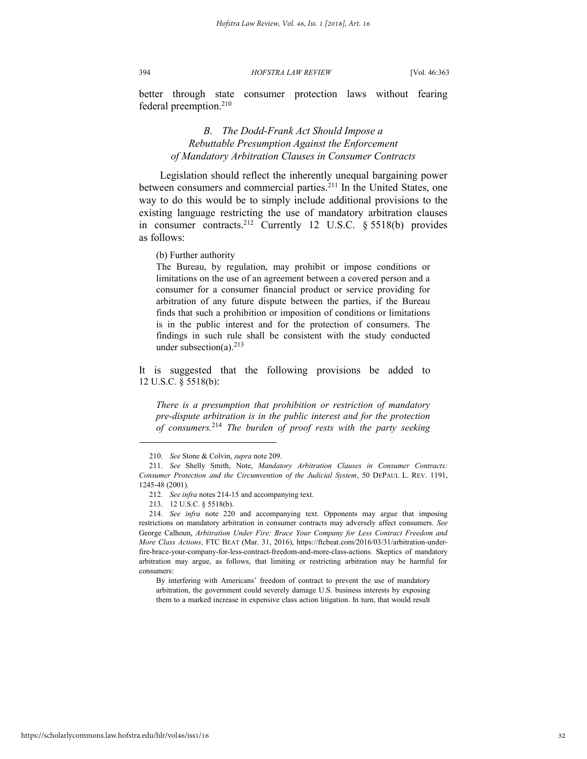better through state consumer protection laws without fearing federal preemption.<sup>210</sup>

## *B. The Dodd-Frank Act Should Impose a Rebuttable Presumption Against the Enforcement of Mandatory Arbitration Clauses in Consumer Contracts*

Legislation should reflect the inherently unequal bargaining power between consumers and commercial parties.<sup>211</sup> In the United States, one way to do this would be to simply include additional provisions to the existing language restricting the use of mandatory arbitration clauses in consumer contracts.<sup>212</sup> Currently 12 U.S.C. § 5518(b) provides as follows:

(b) Further authority

The Bureau, by regulation, may prohibit or impose conditions or limitations on the use of an agreement between a covered person and a consumer for a consumer financial product or service providing for arbitration of any future dispute between the parties, if the Bureau finds that such a prohibition or imposition of conditions or limitations is in the public interest and for the protection of consumers. The findings in such rule shall be consistent with the study conducted under subsection(a).<sup>213</sup>

It is suggested that the following provisions be added to 12 U.S.C. § 5518(b):

*There is a presumption that prohibition or restriction of mandatory pre-dispute arbitration is in the public interest and for the protection of consumers.*<sup>214</sup> *The burden of proof rests with the party seeking* 

l

By interfering with Americans' freedom of contract to prevent the use of mandatory arbitration, the government could severely damage U.S. business interests by exposing them to a marked increase in expensive class action litigation. In turn, that would result

<sup>210.</sup> *See* Stone & Colvin, *supra* note 209.

<sup>211.</sup> *See* Shelly Smith, Note, *Mandatory Arbitration Clauses in Consumer Contracts: Consumer Protection and the Circumvention of the Judicial System*, 50 DEPAUL L. REV. 1191, 1245-48 (2001).

<sup>212.</sup> *See infra* notes 214-15 and accompanying text.

<sup>213. 12</sup> U.S.C. § 5518(b).

<sup>214.</sup> *See infra* note 220 and accompanying text. Opponents may argue that imposing restrictions on mandatory arbitration in consumer contracts may adversely affect consumers. *See*  George Calhoun, *Arbitration Under Fire: Brace Your Company for Less Contract Freedom and More Class Actions*, FTC BEAT (Mar. 31, 2016), https://ftcbeat.com/2016/03/31/arbitration-underfire-brace-your-company-for-less-contract-freedom-and-more-class-actions. Skeptics of mandatory arbitration may argue, as follows, that limiting or restricting arbitration may be harmful for consumers: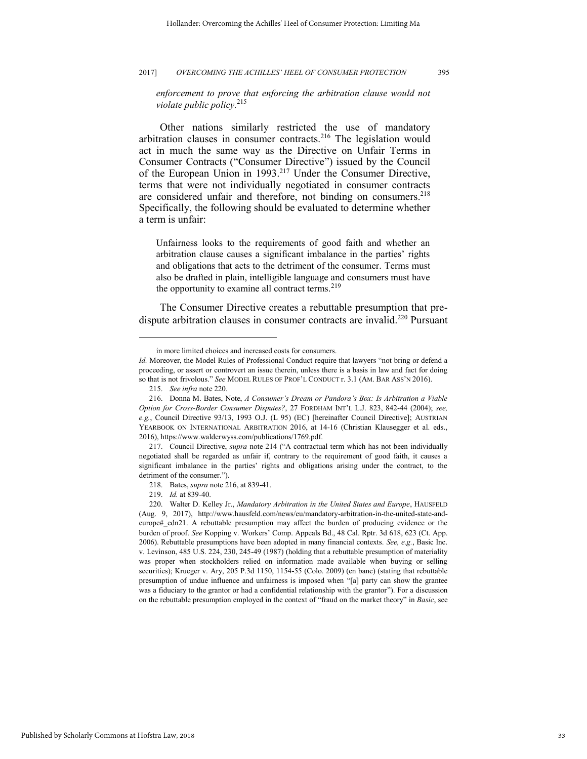enforcement to prove that enforcing the arbitration clause would not *violate public policy.*<sup>215</sup>

Other nations similarly restricted the use of mandatory arbitration clauses in consumer contracts.<sup>216</sup> The legislation would act in much the same way as the Directive on Unfair Terms in Consumer Contracts ("Consumer Directive") issued by the Council of the European Union in 1993.<sup>217</sup> Under the Consumer Directive, terms that were not individually negotiated in consumer contracts are considered unfair and therefore, not binding on consumers. 218 Specifically, the following should be evaluated to determine whether a term is unfair:

Unfairness looks to the requirements of good faith and whether an arbitration clause causes a significant imbalance in the parties' rights and obligations that acts to the detriment of the consumer. Terms must also be drafted in plain, intelligible language and consumers must have the opportunity to examine all contract terms.  $2^{19}$ 

 The Consumer Directive creates a rebuttable presumption that predispute arbitration clauses in consumer contracts are invalid.<sup>220</sup> Pursuant

in more limited choices and increased costs for consumers.

*Id.* Moreover, the Model Rules of Professional Conduct require that lawyers "not bring or defend a proceeding, or assert or controvert an issue therein, unless there is a basis in law and fact for doing so that is not frivolous." *See* MODEL RULES OF PROF'L CONDUCT r. 3.1 (AM. BAR ASS'N 2016).

<sup>215.</sup> *See infra* note 220.

<sup>216.</sup> Donna M. Bates, Note, *A Consumer's Dream or Pandora's Box: Is Arbitration a Viable Option for Cross-Border Consumer Disputes?*, 27 FORDHAM INT'L L.J. 823, 842-44 (2004); *see, e.g.*, Council Directive 93/13, 1993 O.J. (L 95) (EC) [hereinafter Council Directive]; AUSTRIAN YEARBOOK ON INTERNATIONAL ARBITRATION 2016, at 14-16 (Christian Klausegger et al. eds., 2016), https://www.walderwyss.com/publications/1769.pdf.

<sup>217.</sup> Council Directive, *supra* note 214 ("A contractual term which has not been individually negotiated shall be regarded as unfair if, contrary to the requirement of good faith, it causes a significant imbalance in the parties' rights and obligations arising under the contract, to the detriment of the consumer.").

<sup>218.</sup> Bates, *supra* note 216, at 839-41.

<sup>219.</sup> *Id.* at 839-40.

<sup>220.</sup> Walter D. Kelley Jr., *Mandatory Arbitration in the United States and Europe*, HAUSFELD (Aug. 9, 2017), http://www.hausfeld.com/news/eu/mandatory-arbitration-in-the-united-state-andeurope# edn21. A rebuttable presumption may affect the burden of producing evidence or the burden of proof. *See* Kopping v. Workers' Comp. Appeals Bd., 48 Cal. Rptr. 3d 618, 623 (Ct. App. 2006). Rebuttable presumptions have been adopted in many financial contexts. *See, e.g.*, Basic Inc. v. Levinson, 485 U.S. 224, 230, 245-49 (1987) (holding that a rebuttable presumption of materiality was proper when stockholders relied on information made available when buying or selling securities); Krueger v. Ary, 205 P.3d 1150, 1154-55 (Colo. 2009) (en banc) (stating that rebuttable presumption of undue influence and unfairness is imposed when "[a] party can show the grantee was a fiduciary to the grantor or had a confidential relationship with the grantor"). For a discussion on the rebuttable presumption employed in the context of "fraud on the market theory" in *Basic*, see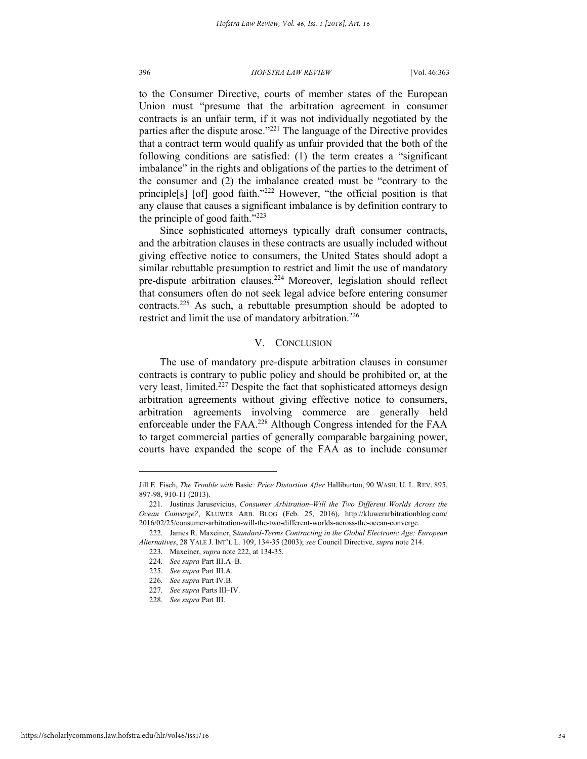to the Consumer Directive, courts of member states of the European Union must "presume that the arbitration agreement in consumer contracts is an unfair term, if it was not individually negotiated by the parties after the dispute arose."<sup>221</sup> The language of the Directive provides that a contract term would qualify as unfair provided that the both of the following conditions are satisfied: (1) the term creates a "significant imbalance" in the rights and obligations of the parties to the detriment of the consumer and (2) the imbalance created must be "contrary to the principle[s] [of] good faith."<sup>222</sup> However, "the official position is that any clause that causes a significant imbalance is by definition contrary to the principle of good faith."<sup>223</sup>

Since sophisticated attorneys typically draft consumer contracts, and the arbitration clauses in these contracts are usually included without giving effective notice to consumers, the United States should adopt a similar rebuttable presumption to restrict and limit the use of mandatory pre-dispute arbitration clauses.<sup>224</sup> Moreover, legislation should reflect that consumers often do not seek legal advice before entering consumer contracts.<sup>225</sup> As such, a rebuttable presumption should be adopted to restrict and limit the use of mandatory arbitration.<sup>226</sup>

## V. CONCLUSION

The use of mandatory pre-dispute arbitration clauses in consumer contracts is contrary to public policy and should be prohibited or, at the very least, limited.<sup>227</sup> Despite the fact that sophisticated attorneys design arbitration agreements without giving effective notice to consumers, arbitration agreements involving commerce are generally held enforceable under the FAA.<sup>228</sup> Although Congress intended for the FAA to target commercial parties of generally comparable bargaining power, courts have expanded the scope of the FAA as to include consumer

Jill E. Fisch, *The Trouble with* Basic*: Price Distortion After* Halliburton, 90 WASH. U. L. REV. 895, 897-98, 910-11 (2013).

<sup>221.</sup> Justinas Jarusevicius, *Consumer Arbitration–Will the Two Different Worlds Across the Ocean Converge?*, KLUWER ARB. BLOG (Feb. 25, 2016), http://kluwerarbitrationblog.com/ 2016/02/25/consumer-arbitration-will-the-two-different-worlds-across-the-ocean-converge.

<sup>222.</sup> James R. Maxeiner, S*tandard-Terms Contracting in the Global Electronic Age: European Alternatives*, 28 YALE J. INT'L L. 109, 134-35 (2003); *see* Council Directive, *supra* note 214.

<sup>223.</sup> Maxeiner, *supra* note 222, at 134-35.

<sup>224.</sup> *See supra* Part III.A–B.

<sup>225.</sup> *See supra* Part III.A.

<sup>226.</sup> *See supra* Part IV.B.

<sup>227.</sup> *See supra* Parts III–IV.

<sup>228.</sup> *See supra* Part III.